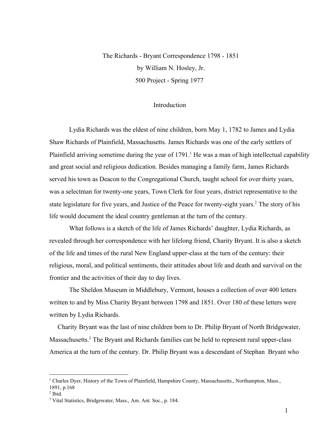The Richards - Bryant Correspondence 1798 - 1851 by William N. Hosley, Jr. 500 Project - Spring 1977

## Introduction

Lydia Richards was the eldest of nine children, born May 1, 1782 to James and Lydia Shaw Richards of Plainfield, Massachusetts. James Richards was one of the early settlers of Plainfield arriving sometime during the year of 1791.<sup>1</sup> He was a man of high intellectual capability and great social and religious dedication. Besides managing a family farm, James Richards served his town as Deacon to the Congregational Church, taught school for over thirty years, was a selectman for twenty-one years, Town Clerk for four years, district representative to the state legislature for five years, and Justice of the Peace for twenty-eight years.<sup>2</sup> The story of his life would document the ideal country gentleman at the turn of the century.

What follows is a sketch of the life of James Richards' daughter, Lydia Richards, as revealed through her correspondence with her lifelong friend, Charity Bryant. It is also a sketch of the life and times of the rural New England upperclass at the turn of the century: their religious, moral, and political sentiments, their attitudes about life and death and survival on the frontier and the activities of their day to day lives.

The Sheldon Museum in Middlebury, Vermont, houses a collection of over 400 letters written to and by Miss Charity Bryant between 1798 and 1851. Over 180 of these letters were written by Lydia Richards.

Charity Bryant was the last of nine children born to Dr. Philip Bryant of North Bridgewater, Massachusetts.<sup>3</sup> The Bryant and Richards families can be held to represent rural upper-class America at the turn of the century. Dr. Philip Bryant was a descendant of Stephan Bryant who

<sup>&</sup>lt;sup>1</sup> Charles Dyer, History of the Town of Plainfield, Hampshire County, Massachusetts., Northampton, Mass., 1891, p.168

 $<sup>2</sup>$  Ibid.</sup>

<sup>3</sup> Vital Statistics, Bridgewater, Mass., Am. Ant. Soc., p. 184.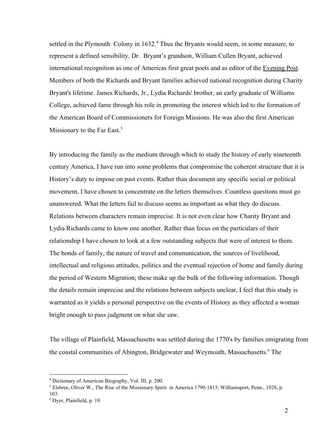settled in the Plymouth Colony in 1632.<sup>4</sup> Thus the Bryants would seem, in some measure, to represent a defined sensibility. Dr. Bryant's grandson, William Cullen Bryant, achieved international recognition as one of Americas first great poets and as editor of the Evening Post. Members of both the Richards and Bryant families achieved national recognition during Charity Bryant's lifetime. James Richards, Jr., Lydia Richards' brother, an early graduate of Williams College, achieved fame through his role in promoting the interest which led to the formation of the American Board of Commissioners for Foreign Missions. He was also the first American Missionary to the Far East.<sup>5</sup>

By introducing the family as the medium through which to study the history of early nineteenth century America, I have run into some problems that compromise the coherent structure that it is History's duty to impose on past events. Rather than document any specific social or political movement, I have chosen to concentrate on the letters themselves. Countless questions must go unanswered. What the letters fail to discuss seems as important as what they do discuss. Relations between characters remain imprecise. It is not even clear how Charity Bryant and Lydia Richards came to know one another. Rather than focus on the particulars of their relationship I have chosen to look at a few outstanding subjects that were of interest to them. The bonds of family, the nature of travel and communication, the sources of livelihood, intellectual and religious attitudes, politics and the eventual rejection of home and family during the period of Western Migration; these make up the bulk of the following information. Though the details remain imprecise and the relations between subjects unclear, I feel that this study is warranted as it yields a personal perspective on the events of History as they affected a woman bright enough to pass judgment on what she saw.

The village of Plainfield, Massachusetts was settled during the 1770's by families emigrating from the coastal communities of Abington, Bridgewater and Weymouth, Massachusetts.<sup>6</sup> The

<sup>4</sup> Dictionary of American Biography, Vol. III, p. 200.

<sup>&</sup>lt;sup>5</sup> Elsbree, Oliver W., The Rise of the Missionary Spirit in America 1790-1815, Williamsport, Penn., 1928, p. 103.

<sup>6</sup> Dyer, Plainfield, p. 19.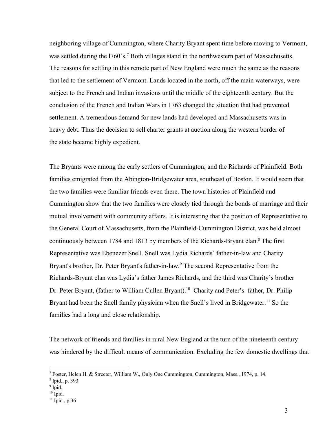neighboring village of Cummington, where Charity Bryant spent time before moving to Vermont, was settled during the 1760's.<sup>7</sup> Both villages stand in the northwestern part of Massachusetts. The reasons for settling in this remote part of New England were much the same as the reasons that led to the settlement of Vermont. Lands located in the north, off the main waterways, were subject to the French and Indian invasions until the middle of the eighteenth century. But the conclusion of the French and Indian Wars in 1763 changed the situation that had prevented settlement. A tremendous demand for new lands had developed and Massachusetts was in heavy debt. Thus the decision to sell charter grants at auction along the western border of the state became highly expedient.

The Bryants were among the early settlers of Cummington; and the Richards of Plainfield. Both families emigrated from the Abington-Bridgewater area, southeast of Boston. It would seem that the two families were familiar friends even there. The town histories of Plainfield and Cummington show that the two families were closely tied through the bonds of marriage and their mutual involvement with community affairs. It is interesting that the position of Representative to the General Court of Massachusetts, from the Plainfield-Cummington District, was held almost continuously between 1784 and 1813 by members of the Richards-Bryant clan.<sup>8</sup> The first Representative was Ebenezer Snell. Snell was Lydia Richards' father-in-law and Charity Bryant's brother, Dr. Peter Bryant's father-in-law.<sup>9</sup> The second Representative from the Richards-Bryant clan was Lydia's father James Richards, and the third was Charity's brother Dr. Peter Bryant, (father to William Cullen Bryant).<sup>10</sup> Charity and Peter's father, Dr. Philip Bryant had been the Snell family physician when the Snell's lived in Bridgewater.<sup>11</sup> So the families had a long and close relationship.

The network of friends and families in rural New England at the turn of the nineteenth century was hindered by the difficult means of communication. Excluding the few domestic dwellings that

- <sup>9</sup> Ipid.
- $10$  Ipid.

<sup>7</sup> Foster, Helen H. & Streeter, William W., Only One Cummington, Cummington, Mass., 1974, p. 14.

<sup>8</sup> Ipid., p. 393

 $11$  Ipid., p.36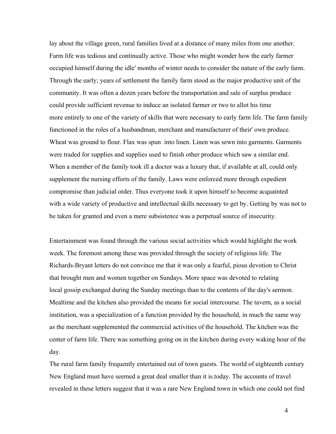lay about the village green, rural families lived at a distance of many miles from one another. Farm life was tedious and continually active. Those who might wonder how the early farmer occupied himself during the idle' months of winter needs to consider the nature of the early farm. Through the early; years of settlement the family farm stood as the major productive unit of the community. It was often a dozen years before the transportation and sale of surplus produce could provide sufficient revenue to induce an isolated farmer or two to allot his time more entirely to one of the variety of skills that were necessary to early farm life. The farm family functioned in the roles of a husbandman, merchant and manufacturer of their' own produce. Wheat was ground to flour. Flax was spun into linen. Linen was sewn into garments. Garments were traded for supplies and supplies used to finish other produce which saw a similar end. When a member of the family took ill a doctor was a luxury that, if available at all, could only supplement the nursing efforts of the family. Laws were enforced more through expedient compromise than judicial order. Thus everyone took it upon himself to become acquainted with a wide variety of productive and intellectual skills necessary to get by. Getting by was not to be taken for granted and even a mere subsistence was a perpetual source of insecurity.

Entertainment was found through the various social activities which would highlight the work week. The foremost among these was provided through the society of religious life. The Richards-Bryant letters do not convince me that it was only a fearful, pious devotion to Christ that brought men and women together on Sundays. More space was devoted to relating local gossip exchanged during the Sunday meetings than to the contents of the day's sermon. Mealtime and the kitchen also provided the means for social intercourse. The tavern, as a social institution, was a specialization of a function provided by the household, in much the same way as the merchant supplemented the commercial activities of the household. The kitchen was the center of farm life. There was something going on in the kitchen during every waking hour of the day.

The rural farm family frequently entertained out of town guests. The world of eighteenth century New England must have seemed a great deal smaller than it is.today. The accounts of travel revealed in these letters suggest that it was a rare New England town in which one could not find

4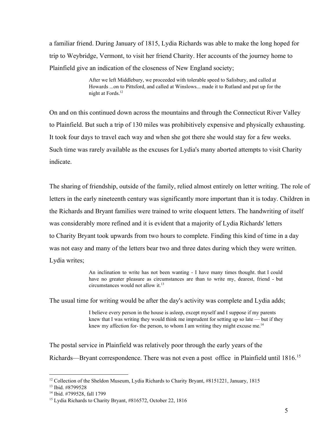a familiar friend. During January of 1815, Lydia Richards was able to make the long hoped for trip to Weybridge, Vermont, to visit her friend Charity. Her accounts of the journey home to Plainfield give an indication of the closeness of New England society;

> After we left Middlebury, we proceeded with tolerable speed to Salisbury, and called at Howards ...on to Pittsford, and called at Winslows... made it to Rutland and put up for the night at Fords. 12

On and on this continued down across the mountains and through the Connecticut River Valley to Plainfield. But such a trip of 130 miles was prohibitively expensive and physically exhausting. It took four days to travel each way and when she got there she would stay for a few weeks. Such time was rarely available as the excuses for Lydia's many aborted attempts to visit Charity indicate.

The sharing of friendship, outside of the family, relied almost entirely on letter writing. The role of letters in the early nineteenth century was significantly more important than it is today. Children in the Richards and Bryant families were trained to write eloquent letters. The handwriting of itself was considerably more refined and it is evident that a majority of Lydia Richards' letters to Charity Bryant took upwards from two hours to complete. Finding this kind of time in a day was not easy and many of the letters bear two and three dates during which they were written. Lydia writes;

> An inclination to write has not been wanting I have many times thought. that I could have no greater pleasure as circumstances are than to write my, dearest, friend - but circumstances would not allow it. 13

The usual time for writing would be after the day's activity was complete and Lydia adds;

I believe every person in the house is asleep, except myself and I suppose if my parents knew that I was writing they would think me imprudent for setting up so late — but if they knew my affection for- the person, to whom I am writing they might excuse me.<sup>14</sup>

The postal service in Plainfield was relatively poor through the early years of the Richards—Bryant correspondence. There was not even a post office in Plainfield until 1816.<sup>15</sup>

<sup>&</sup>lt;sup>12</sup> Collection of the Sheldon Museum, Lydia Richards to Charity Bryant, #8151221, January, 1815

<sup>13</sup> Ibid. #8799528

<sup>14</sup> Ibid. #799528, fall 1799

<sup>&</sup>lt;sup>15</sup> Lydia Richards to Charity Bryant, #816572, October 22, 1816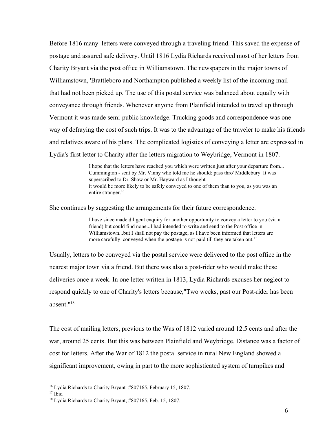Before 1816 many letters were conveyed through a traveling friend. This saved the expense of postage and assured safe delivery. Until 1816 Lydia Richards received most of her letters from Charity Bryant via the post office in Williamstown. The newspapers in the major towns of Williamstown, 'Brattleboro and Northampton published a weekly list of the incoming mail that had not been picked up. The use of this postal service was balanced about equally with conveyance through friends. Whenever anyone from Plainfield intended to travel up through Vermont it was made semi-public knowledge. Trucking goods and correspondence was one way of defraying the cost of such trips. It was to the advantage of the traveler to make his friends and relatives aware of his plans. The complicated logistics of conveying a letter are expressed in Lydia's first letter to Charity after the letters migration to Weybridge, Vermont in 1807.

> I hope that the letters have reached you which were written just after your departure from... Cummington - sent by Mr. Vinny who told me he should: pass thro' Middlebury. It was superscribed to Dr. Shaw or Mr. Hayward as I thought it would be more likely to be safely conveyed to one of them than to you, as you was an entire stranger.<sup>16</sup>

She continues by suggesting the arrangements for their future correspondence.

I have since made diligent enquiry for another opportunity to convey a letter to you (via a friend) but could find none...I had intended to write and send to the Post office in Williamstown...but I shall not pay the postage, as I have been informed that letters are more carefully conveyed when the postage is not paid till they are taken out.<sup>17</sup>

Usually, letters to be conveyed via the postal service were delivered to the post office in the nearest major town via a friend. But there was also a post-rider who would make these deliveries once a week. In one letter written in 1813, Lydia Richards excuses her neglect to respond quickly to one of Charity's letters because, "Two weeks, past our Post-rider has been absent." 18

The cost of mailing letters, previous to the Was of 1812 varied around 12.5 cents and after the war, around 25 cents. But this was between Plainfield and Weybridge. Distance was a factor of cost for letters. After the War of 1812 the postal service in rural New England showed a significant improvement, owing in part to the more sophisticated system of turnpikes and

<sup>16</sup> Lydia Richards to Charity Bryant #807165. February 15, 1807.

<sup>17</sup> Ibid

<sup>18</sup> Lydia Richards to Charity Bryant, #807165. Feb. 15, 1807.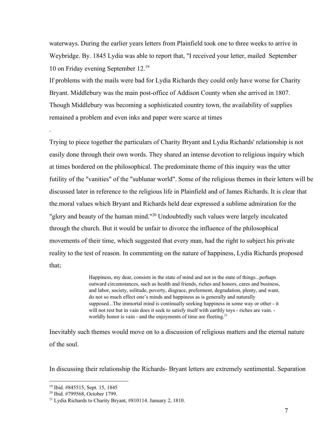waterways. During the earlier years letters from Plainfield took one to three weeks to arrive in Weybridge. By. 1845 Lydia was able to report that, "I received your letter, mailed September 10 on Friday evening September 12. 19

If problems with the mails were bad for Lydia Richards they could only have worse for Charity Bryant. Middlebury was the main post-office of Addison County when she arrived in 1807. Though Middlebury was becoming a sophisticated country town, the availability of supplies remained a problem and even inks and paper were scarce at times

Trying to piece together the particulars of Charity Bryant and Lydia Richards' relationship is not easily done through their own words. They shared an intense devotion to religious inquiry which at times bordered on the philosophical. The predominate theme of this inquiry was the utter futility of the "vanities" of the "sublunar world". Some of the religious themes in their letters will be discussed later in reference to the religious life in Plainfield and of James Richards. It is clear that the.moral values which Bryant and Richards held dear expressed a sublime admiration for the "glory and beauty of the human mind."<sup>20</sup> Undoubtedly such values were largely inculcated through the church. But it would be unfair to divorce the influence of the philosophical movements of their time, which suggested that every man, had the right to subject his private reality to the test of reason. In commenting on the nature of happiness, Lydia Richards proposed that;

> Happiness, my dear, consists in the state of mind and not in the state of things...perhaps outward circumstances, such as health and friends, riches and honors, cares and business, and labor, society, solitude, poverty, disgrace, preferment, degradation, plenty, and want, do not so much effect one's minds and happiness as is generally and naturally supposed...The immortal mind is continually seeking happiness in some way or other it will not rest but in vain does it seek to satisfy itself with earthly toys - riches are vain. worldly honor is vain - and the enjoyments of time are fleeting.<sup>21</sup>

Inevitably such themes would move on to a discussion of religious matters and the eternal nature of the soul.

In discussing their relationship the Richards-Bryant letters are extremely sentimental. Separation

.

<sup>19</sup> Ibid. #845515, Sept. 15, 1845

<sup>20</sup> Ibid. #799568, October 1799.

<sup>21</sup> Lydia Richards to Charity Bryant, #810114. January 2, 1810.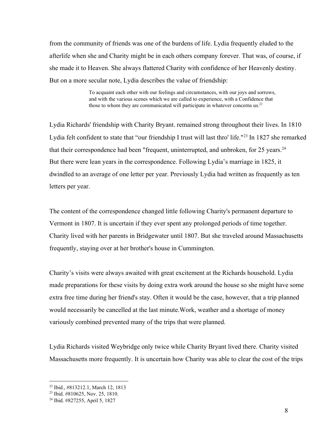from the community of friends was one of the burdens of life. Lydia frequently eluded to the afterlife when she and Charity might be in each others company forever. That was, of course, if she made it to Heaven. She always flattered Charity with confidence of her Heavenly destiny. But on a more secular note, Lydia describes the value of friendship:

> To acquaint each other with our feelings and circumstances, with our joys and sorrows, and with the various scenes which we are called to experience, with a Confidence that those to whom they are communicated will participate in whatever concerns us.<sup>22</sup>

Lydia Richards' friendship with Charity Bryant. remained strong throughout their lives. In 1810 Lydia felt confident to state that "our friendship I trust will last thro' life."<sup>23</sup> In 1827 she remarked that their correspondence had been "frequent, uninterrupted, and unbroken, for 25 years.<sup>24</sup> But there were lean years in the correspondence. Following Lydia's marriage in 1825, it dwindled to an average of one letter per year. Previously Lydia had written as frequently as ten letters per year.

The content of the correspondence changed little following Charity's permanent departure to Vermont in 1807. It is uncertain if they ever spent any prolonged periods of time together. Charity lived with her parents in Bridgewater until 1807. But she traveled around Massachusetts frequently, staying over at her brother's house in Cummington.

Charity's visits were always awaited with great excitement at the Richards household. Lydia made preparations for these visits by doing extra work around the house so she might have some extra free time during her friend's stay. Often it would be the case, however, that a trip planned would necessarily be cancelled at the last minute.Work, weather and a shortage of money variously combined prevented many of the trips that were planned.

Lydia Richards visited Weybridge only twice while Charity Bryant lived there. Charity visited Massachusetts more frequently. It is uncertain how Charity was able to clear the cost of the trips

<sup>22</sup> Ibid., #813212.1, March 12, 1813

<sup>23</sup> Ibid. #810625, Nov. 25, 1810.

<sup>24</sup> Ibid. #827255, April 5, 1827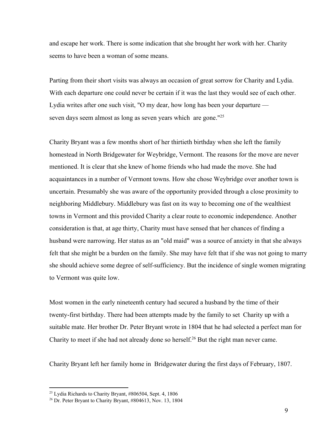and escape her work. There is some indication that she brought her work with her. Charity seems to have been a woman of some means.

Parting from their short visits was always an occasion of great sorrow for Charity and Lydia. With each departure one could never be certain if it was the last they would see of each other. Lydia writes after one such visit, "O my dear, how long has been your departure seven days seem almost as long as seven years which are gone."<sup>25</sup>

Charity Bryant was a few months short of her thirtieth birthday when she left the family homestead in North Bridgewater for Weybridge, Vermont. The reasons for the move are never mentioned. It is clear that she knew of home friends who had made the move. She had acquaintances in a number of Vermont towns. How she chose Weybridge over another town is uncertain. Presumably she was aware of the opportunity provided through a close proximity to neighboring Middlebury. Middlebury was fast on its way to becoming one of the wealthiest towns in Vermont and this provided Charity a clear route to economic independence. Another consideration is that, at age thirty, Charity must have sensed that her chances of finding a husband were narrowing. Her status as an "old maid" was a source of anxiety in that she always felt that she might be a burden on the family. She may have felt that if she was not going to marry she should achieve some degree of self-sufficiency. But the incidence of single women migrating to Vermont was quite low.

Most women in the early nineteenth century had secured a husband by the time of their twenty-first birthday. There had been attempts made by the family to set Charity up with a suitable mate. Her brother Dr. Peter Bryant wrote in 1804 that he had selected a perfect man for Charity to meet if she had not already done so herself.<sup>26</sup> But the right man never came.

Charity Bryant left her family home in Bridgewater during the first days of February, 1807.

 $25$  Lydia Richards to Charity Bryant,  $\#806504$ , Sept. 4, 1806

<sup>26</sup> Dr. Peter Bryant to Charity Bryant, #804613, Nov. 13, 1804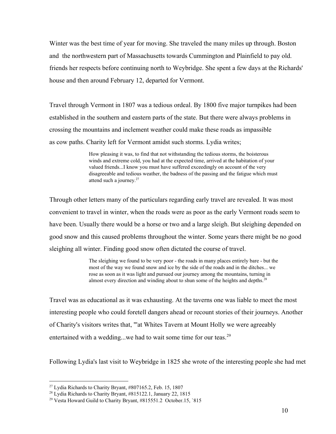Winter was the best time of year for moving. She traveled the many miles up through. Boston and the northwestern part of Massachusetts towards Cummington and Plainfield to pay old. friends her respects before continuing north to Weybridge. She spent a few days at the Richards' house and then around February 12, departed for Vermont.

Travel through Vermont in 1807 was a tedious ordeal. By 1800 five major turnpikes had been established in the southern and eastern parts of the state. But there were always problems in crossing the mountains and inclement weather could make these roads as impassible as cow paths. Charity left for Vermont amidst such storms. Lydia writes;

> How pleasing it was, to find that not withstanding the tedious storms, the boisterous winds and extreme cold, you had at the expected time, arrived at the habitation of your valued friends...I know you must have suffered exceedingly on account of the very disagreeable and tedious weather, the badness of the passing and the fatigue which must attend such a journey.<sup>27</sup>

Through other letters many of the particulars regarding early travel are revealed. It was most convenient to travel in winter, when the roads were as poor as the early Vermont roads seem to have been. Usually there would be a horse or two and a large sleigh. But sleighing depended on good snow and this caused problems throughout the winter. Some years there might be no good sleighing all winter. Finding good snow often dictated the course of travel.

> The sleighing we found to be very poor - the roads in many places entirely bare - but the most of the way we found snow and ice by the side of the roads and in the ditches... we rose as soon as it was light and pursued our journey among the mountains, turning in almost every direction and winding about to shun some of the heights and depths. 28

Travel was as educational as it was exhausting. At the taverns one was liable to meet the most interesting people who could foretell dangers ahead or recount stories of their journeys. Another of Charity's visitors writes that, "'at Whites Tavern at Mount Holly we were agreeably entertained with a wedding...we had to wait some time for our teas.<sup>29</sup>

Following Lydia's last visit to Weybridge in 1825 she wrote of the interesting people she had met

 $27$  Lydia Richards to Charity Bryant,  $\#807165.2$ , Feb. 15, 1807

<sup>&</sup>lt;sup>28</sup> Lydia Richards to Charity Bryant, #815122.1, January 22, 1815

<sup>29</sup> Vesta Howard Guild to Charity Bryant, #815551.2 October.15, `815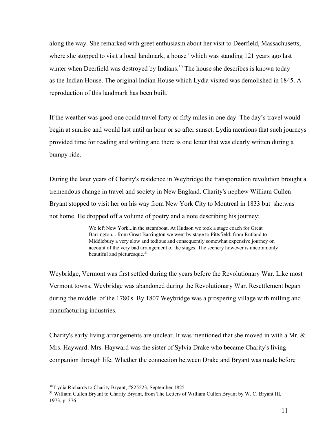along the way. She remarked with greet enthusiasm about her visit to Deerfield, Massachusetts, where she stopped to visit a local landmark, a house "which was standing 121 years ago last winter when Deerfield was destroyed by Indians. $30$  The house she describes is known today as the Indian House. The original Indian House which Lydia visited was demolished in 1845. A reproduction of this landmark has been built.

If the weather was good one could travel forty or fifty miles in one day. The day's travel would begin at sunrise and would last until an hour or so after sunset. Lydia mentions that such journeys provided time for reading and writing and there is one letter that was clearly written during a bumpy ride.

During the later years of Charity's residence in Weybridge the transportation revolution brought a tremendous change in travel and society in New England. Charity's nephew William Cullen Bryant stopped to visit her on his way from New York City to Montreal in 1833 but she:was not home. He dropped off a volume of poetry and a note describing his journey;

> We left New York...in the steamboat. At Hudson we took a stage coach for Great Barrington... from Great Barrington we went by stage to Pittsfield; from Rutland to Middlebury a very slow and tedious and consequently somewhat expensive journey on account of the very bad arrangement of the stages. The scenery however is uncommonly beautiful and picturesque.<sup>31</sup>

Weybridge, Vermont was first settled during the years before the Revolutionary War. Like most Vermont towns, Weybridge was abandoned during the Revolutionary War. Resettlement began during the middle. of the 1780's. By 1807 Weybridge was a prospering village with milling and manufacturing industries.

Charity's early living arrangements are unclear. It was mentioned that she moved in with a Mr. & Mrs. Hayward. Mrs. Hayward was the sister of Sylvia Drake who became Charity's living companion through life. Whether the connection between Drake and Bryant was made before

<sup>30</sup> Lydia Richards to Charity Bryant, #825523, September 1825

<sup>&</sup>lt;sup>31</sup> William Cullen Bryant to Charity Bryant, from The Letters of William Cullen Bryant by W. C. Bryant III, 1973, p. 376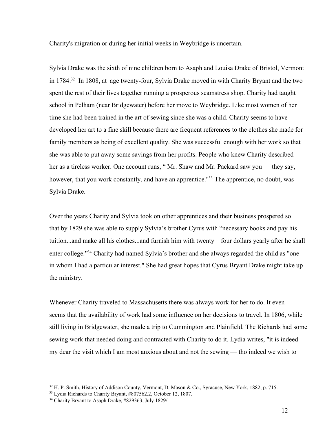Charity's migration or during her initial weeks in Weybridge is uncertain.

Sylvia Drake was the sixth of nine children born to Asaph and Louisa Drake of Bristol, Vermont in  $1784$ <sup>32</sup> In 1808, at age twenty-four, Sylvia Drake moved in with Charity Bryant and the two spent the rest of their lives together running a prosperous seamstress shop. Charity had taught school in Pelham (near Bridgewater) before her move to Weybridge. Like most women of her time she had been trained in the art of sewing since she was a child. Charity seems to have developed her art to a fine skill because there are frequent references to the clothes she made for family members as being of excellent quality. She was successful enough with her work so that she was able to put away some savings from her profits. People who knew Charity described her as a tireless worker. One account runs, "Mr. Shaw and Mr. Packard saw you — they say, however, that you work constantly, and have an apprentice.<sup>133</sup> The apprentice, no doubt, was Sylvia Drake.

Over the years Charity and Sylvia took on other apprentices and their business prospered so that by 1829 she was able to supply Sylvia's brother Cyrus with "necessary books and pay his tuition...and make all his clothes...and furnish him with twenty—four dollars yearly after he shall enter college."<sup>34</sup> Charity had named Sylvia's brother and she always regarded the child as "one in whom I had a particular interest." She had great hopes that Cyrus Bryant Drake might take up the ministry.

Whenever Charity traveled to Massachusetts there was always work for her to do. It even seems that the availability of work had some influence on her decisions to travel. In 1806, while still living in Bridgewater, she made a trip to Cummington and Plainfield. The Richards had some sewing work that needed doing and contracted with Charity to do it. Lydia writes, "it is indeed my dear the visit which I am most anxious about and not the sewing — tho indeed we wish to

 $32$  H. P. Smith, History of Addison County, Vermont, D. Mason & Co., Syracuse, New York, 1882, p. 715.

<sup>33</sup> Lydia Richards to Charity Bryant, #807562.2, October 12, 1807.

<sup>34</sup> Charity Bryant to Asaph Drake, #829363, July 1829/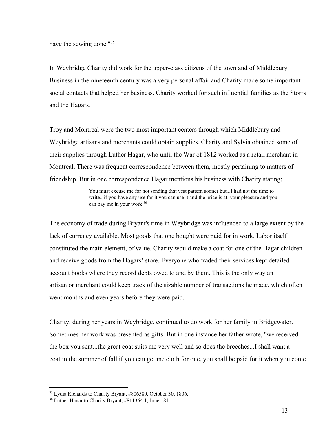have the sewing done."<sup>35</sup>

In Weybridge Charity did work for the upperclass citizens of the town and of Middlebury. Business in the nineteenth century was a very personal affair and Charity made some important social contacts that helped her business. Charity worked for such influential families as the Storrs and the Hagars.

Troy and Montreal were the two most important centers through which Middlebury and Weybridge artisans and merchants could obtain supplies. Charity and Sylvia obtained some of their supplies through Luther Hagar, who until the War of 1812 worked as a retail merchant in Montreal. There was frequent correspondence between them, mostly pertaining to matters of friendship. But in one correspondence Hagar mentions his business with Charity stating;

> You must excuse me for not sending that vest pattern sooner but...I had not the time to write...if you have any use for it you can use it and the price is at. your pleasure and you can pay me in your work. 36

The economy of trade during Bryant's time in Weybridge was influenced to a large extent by the lack of currency available. Most goods that one bought were paid for in work. Labor itself constituted the main element, of value. Charity would make a coat for one of the Hagar children and receive goods from the Hagars' store. Everyone who traded their services kept detailed account books where they record debts owed to and by them. This is the only way an artisan or merchant could keep track of the sizable number of transactions he made, which often went months and even years before they were paid.

Charity, during her years in Weybridge, continued to do work for her family in Bridgewater. Sometimes her work was presented as gifts. But in one instance her father wrote, "we received the box you sent...the great coat suits me very well and so does the breeches...I shall want a coat in the summer of fall if you can get me cloth for one, you shall be paid for it when you come

<sup>35</sup> Lydia Richards to Charity Bryant, #806580, October 30, 1806.

<sup>36</sup> Luther Hagar to Charity Bryant, #811364.1, June 1811.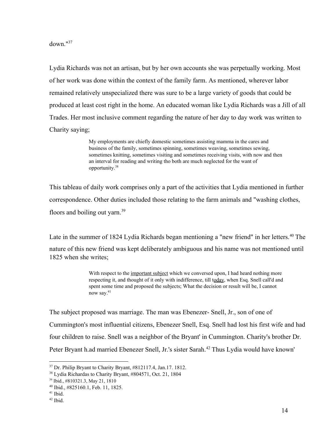down." 37

Lydia Richards was not an artisan, but by her own accounts she was perpetually working. Most of her work was done within the context of the family farm. As mentioned, wherever labor remained relatively unspecialized there was sure to be a large variety of goods that could be produced at least cost right in the home. An educated woman like Lydia Richards was a Jill of all Trades. Her most inclusive comment regarding the nature of her day to day work was written to Charity saying;

> My employments are chiefly domestic sometimes assisting mamma in the cares and business of the family, sometimes spinning, sometimes weaving, sometimes sewing, sometimes knitting, sometimes visiting and sometimes receiving visits, with now and then an interval for reading and writing tho both are much neglected for the want of opportunity. 38

This tableau of daily work comprises only a part of the activities that Lydia mentioned in further correspondence. Other duties included those relating to the farm animals and "washing clothes, floors and boiling out yarn.<sup>39</sup>

Late in the summer of 1824 Lydia Richards began mentioning a "new friend" in her letters.<sup>40</sup> The nature of this new friend was kept deliberately ambiguous and his name was not mentioned until 1825 when she writes;

> With respect to the important subject which we conversed upon, I had heard nothing more respecting it, and thought of it only with indifference, till today, when Esq. Snell call'd and spent some time and proposed the subjects; What the decision or result will be, I cannot now say.<sup>41</sup>

The subject proposed was marriage. The man was Ebenezer- Snell, Jr., son of one of Cummington's most influential citizens, Ebenezer Snell, Esq. Snell had lost his first wife and had four children to raise. Snell was a neighbor of the Bryant' in Cummington. Charity's brother Dr. Peter Bryant h.ad married Ebenezer Snell, Jr.'s sister Sarah.<sup>42</sup> Thus Lydia would have known'

<sup>37</sup> Dr. Philip Bryant to Charity Bryant, #812117.4, Jan.17. 1812.

<sup>38</sup> Lydia Richardas to Charity Bryant, #804571, Oct. 21, 1804

<sup>39</sup> Ibid., #810321.3, May 21, 1810

<sup>40</sup> Ibid., #825160.1, Feb. 11, 1825.

<sup>41</sup> Ibid.

<sup>42</sup> Ibid.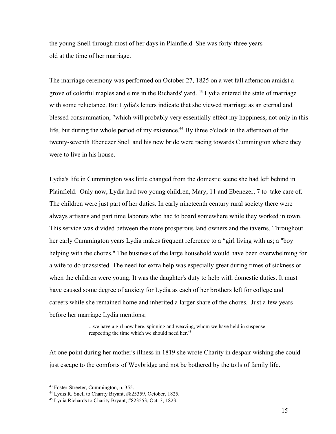the young Snell through most of her days in Plainfield. She was forty-three years old at the time of her marriage.

The marriage ceremony was performed on October 27, 1825 on a wet fall afternoon amidst a grove of colorful maples and elms in the Richards' yard. <sup>43</sup> Lydia entered the state of marriage with some reluctance. But Lydia's letters indicate that she viewed marriage as an eternal and blessed consummation, "which will probably very essentially effect my happiness, not only in this life, but during the whole period of my existence.<sup>44</sup> By three o'clock in the afternoon of the twenty-seventh Ebenezer Snell and his new bride were racing towards Cummington where they were to live in his house.

Lydia's life in Cummington was little changed from the domestic scene she had left behind in Plainfield. Only now, Lydia had two young children, Mary, 11 and Ebenezer, 7 to take care of. The children were just part of her duties. In early nineteenth century rural society there were always artisans and part time laborers who had to board somewhere while they worked in town. This service was divided between the more prosperous land owners and the taverns. Throughout her early Cummington years Lydia makes frequent reference to a "girl living with us; a "boy helping with the chores." The business of the large household would have been overwhelming for a wife to do unassisted. The need for extra help was especially great during times of sickness or when the children were young. It was the daughter's duty to help with domestic duties. It must have caused some degree of anxiety for Lydia as each of her brothers left for college and careers while she remained home and inherited a larger share of the chores. Just a few years before her marriage Lydia mentions;

> ...we have a girl now here, spinning and weaving, whom we have held in suspense respecting the time which we should need her. 45

At one point during her mother's illness in 1819 she wrote Charity in despair wishing she could just escape to the comforts of Weybridge and not be bothered by the toils of family life.

<sup>&</sup>lt;sup>43</sup> Foster-Streeter, Cummington, p. 355.

<sup>44</sup> Lydis R. Snell to Charity Bryant, #825359, October, 1825.

<sup>45</sup> Lydia Richards to Charity Bryant, #823553, Oct. 3, 1823.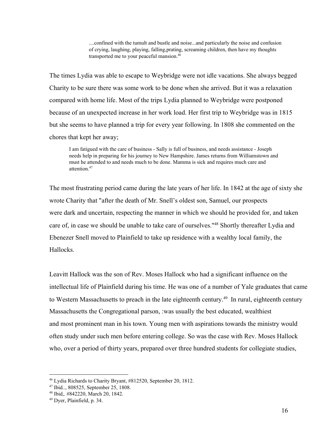....confined with the tumult and bustle and noise...and particularly the noise and confusion of crying, laughing, playing, falling,prating, screaming children, then have my thoughts transported me to your peaceful mansion. 46

The times Lydia was able to escape to Weybridge were not idle vacations. She always begged Charity to be sure there was some work to be done when she arrived. But it was a relaxation compared with home life. Most of the trips Lydia planned to Weybridge were postponed because of an unexpected increase in her work load. Her first trip to Weybridge was in 1815 but she seems to have planned a trip for every year following. In 1808 she commented on the chores that kept her away;

I am fatigued with the care of business - Sally is full of business, and needs assistance - Joseph needs help in preparing for his journey to New Hampshire. James returns from Williamstown and must he attended to and needs much to be done. Mamma is sick and requires much care and attention. 47

The most frustrating period came during the late years of her life. In 1842 at the age of sixty she wrote Charity that "after the death of Mr. Snell's oldest son, Samuel, our prospects were dark and uncertain, respecting the manner in which we should he provided for, and taken care of, in case we should be unable to take care of ourselves."<sup>48</sup> Shortly thereafter Lydia and Ebenezer Snell moved to Plainfield to take up residence with a wealthy local family, the Hallocks.

Leavitt Hallock was the son of Rev. Moses Hallock who had a significant influence on the intellectual life of Plainfield during his time. He was one of a number of Yale graduates that came to Western Massachusetts to preach in the late eighteenth century.<sup>49</sup> In rural, eighteenth century Massachusetts the Congregational parson, :was usually the best educated, wealthiest and most prominent man in his town. Young men with aspirations towards the ministry would often study under such men before entering college. So was the case with Rev. Moses Hallock who, over a period of thirty years, prepared over three hundred students for collegiate studies,

<sup>46</sup> Lydia Richards to Charity Bryant, #812520, September 20, 1812.

<sup>47</sup> Ibid.., 808525, September 25, 1808.

<sup>48</sup> Ibid,. #842220, March 20, 1842.

<sup>49</sup> Dyer, Plainfield, p. 34.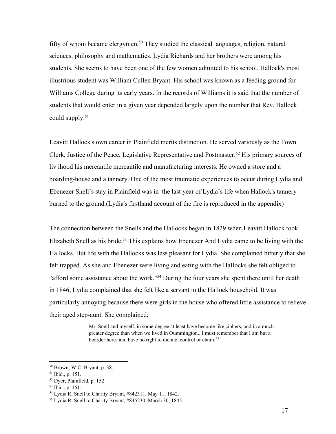fifty of whom became clergymen.<sup>50</sup> They studied the classical languages, religion, natural sciences, philosophy and mathematics. Lydia Richards and her brothers were among his students. She seems to have been one of the few women admitted to his school. Hallock's most illustrious student was William Cullen Bryant. His school was known as a feeding ground for Williams College during its early years. In the records of Williams it is said that the number of students that would enter in a given year depended largely upon the number that Rev. Hallock could supply. 51

Leavitt Hallock's own career in Plainfield merits distinction. He served variously as the Town Clerk, Justice of the Peace, Legislative Representative and Postmaster.<sup>52</sup> His primary sources of liv ihood his mercantile mercantile and manufacturing interests. He owned a store and a boarding-house and a tannery. One of the most traumatic experiences to occur during Lydia and Ebenezer Snell's stay in Plainfield was in the last year of Lydia's life when Hallock's tannery burned to the ground.(Lydia's firsthand account of the fire is reproduced in the appendix)

The connection between the Snells and the Hallocks began in 1829 when Leavitt Hallock took Elizabeth Snell as his bride.<sup>53</sup> This explains how Ebenezer And Lydia came to be living with the Hallocks. But life with the Hallocks was less pleasant for Lydia. She complained bitterly that she felt trapped. As she and Ebenezer were living and eating with the HaIlocks she felt obliged to "afford some assistance about the work."<sup>54</sup> During the four years she spent there until her death in 1846, Lydia complained that she felt like a servant in the Hallock household. It was particularly annoying because there were girls in the house who offered little assistance to relieve their aged step-aunt. She complained;

> Mr. Snell and myself, in some degree at least have become like ciphers, and in a much greater degree than when we lived in Oummington...I must remember that I am but a boarder here- and have no right to dictate, control or claim.<sup>55</sup>

<sup>50</sup> Brown, W.C. Bryant, p. 38.

<sup>51</sup> Ibid., p. 151.

<sup>52</sup> Dyer, Plainfield, p. 152

<sup>53</sup> Ibid., p. 151.

<sup>54</sup> Lydia R. Snell to Charity Bryant, #842311, May 11, 1842.

<sup>55</sup> Lydia R. Snell to Charity Bryant, #845230, March 30, 1845.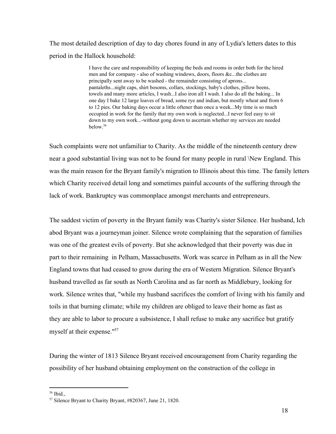The most detailed description of day to day chores found in any of Lydia's letters dates to this period in the Hallock household:

> I have the care and responsibility of keeping the beds and rooms in order both for the hired men and for company - also of washing windows, doors, floors &c...the clothes are principally sent away to be washed - the remainder consisting of aprons... pantaleths...night caps, shirt bosoms, collars, stockings, baby's clothes, pillow beens, towels and many more articles, I wash...I also iron all I wash. I also do all the baking... In one day I bake 12 large loaves of bread, some rye and indian, but mostly wheat and from 6 to 12 pies. Our baking days occur a little oftener than once a week...My time is so much occupied in work for the family that my own work is neglected...I never feel easy to sit down to my own work...-without gong down to ascertain whether my services are needed below. 56

Such complaints were not unfamiliar to Charity. As the middle of the nineteenth century drew near a good substantial living was not to be found for many people in rural \New England. This was the main reason for the Bryant family's migration to Illinois about this time. The family letters which Charity received detail long and sometimes painful accounts of the suffering through the lack of work. Bankruptcy was commonplace amongst merchants and entrepreneurs.

The saddest victim of poverty in the Bryant family was Charity's sister Silence. Her husband, Ich abod Bryant was a journeyman joiner. Silence wrote complaining that the separation of families was one of the greatest evils of poverty. But she acknowledged that their poverty was due in part to their remaining in Pelham, Massachusetts. Work was scarce in Pelham as in all the New England towns that had ceased to grow during the era of Western Migration. Silence Bryant's husband travelled as far south as North Carolina and as far north as Middlebury, looking for work. Silence writes that, "while my husband sacrifices the comfort of living with his family and toils in that burning climate; while my children are obliged to leave their home as fast as they are able to labor to procure a subsistence, I shall refuse to make any sacrifice but gratify myself at their expense." 57

During the winter of 1813 Silence Bryant received encouragement from Charity regarding the possibility of her husband obtaining employment on the construction of the college in

<sup>56</sup> Ibid.,

<sup>57</sup> Silence Bryant to Charity Bryant, #820367, June 21, 1820.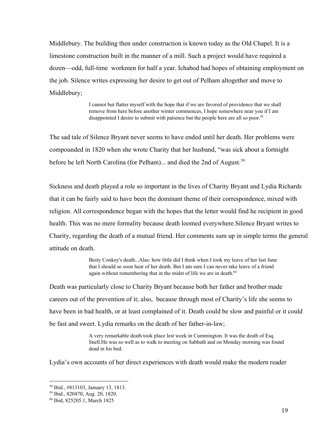Middlebury. The building then under construction is known today as the Old Chapel. It is a limestone construction built in the manner of a mill. Such a project would have required a dozen—odd, full-time workmen for half a year. Ichabod had hopes of obtaining employment on the job. Silence writes expressing her desire to get out of Pelham altogether and move to Middlebury;

> I cannot but flatter myself with the hope that if we are favored of providence that we shall remove from here before another winter commences, I hope somewhere near you if I am disappointed I desire to submit with patience but the people here are all so poor. 58

The sad tale of Silence Bryant never seems to have ended until her death. Her problems were compounded in 1820 when she wrote Charity that her husband, "was sick about a fortnight before he left North Carolina (for Pelham)... and died the 2nd of August.<sup>59</sup>

Sickness and death played a role so important in the lives of Charity Bryant and Lydia Richards that it can be fairly said to have been the dominant theme of their correspondence, mixed with religion. All correspondence began with the hopes that the letter would find he recipient in good health. This was no mere formality because death loomed everywhere.Silence Bryant writes to Charity, regarding the death of a mutual friend. Her comments sum up in simple terms the general attitude on death.

> Besty Conkey's death...Alas: how little did I think when I took my leave of her last June that I should so soon hear of her death. But I am sure I can never take leave of a friend again without remembering that in the midst of life we are in death.<sup>60</sup>

Death was particularly close to Charity Bryant because both her father and brother made careers out of the prevention of it; also, because through most of Charity's life she seems to have been in bad health, or at least complained of it. Death could be slow and painful or it could be fast and sweet. Lydia remarks on the death of her father-in-law;

> A very remarkable death took place lest week in Cummington. It was the death of Esq. Snell.He was so well as to walk to meeting on Sabbath and on Monday morning was found dead in his bed.

Lydia's own accounts of her direct experiences with death would make the modern reader

<sup>58</sup> Ibid., #813103, January 13, 1813.

<sup>59</sup> Ibid., 820470, Aug. 20, 1820.

<sup>60</sup> Ibid, 825205.1, March 1825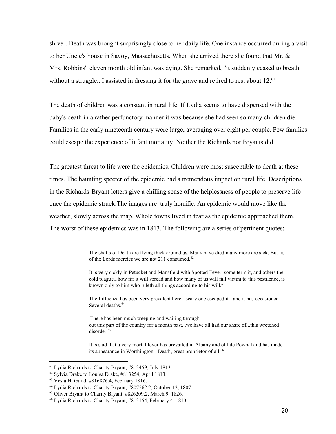shiver. Death was brought surprisingly close to her daily life. One instance occurred during a visit to her Uncle's house in Savoy, Massachusetts. When she arrived there she found that Mr. & Mrs. Robbins'' eleven month old infant was dying. She remarked, "it suddenly ceased to breath without a struggle...I assisted in dressing it for the grave and retired to rest about 12.<sup>61</sup>

The death of children was a constant in rural life. If Lydia seems to have dispensed with the baby's death in a rather perfunctory manner it was because she had seen so many children die. Families in the early nineteenth century were large, averaging over eight per couple. Few families could escape the experience of infant mortality. Neither the Richards nor Bryants did.

The greatest threat to life were the epidemics. Children were most susceptible to death at these times. The haunting specter of the epidemic had a tremendous impact on rural life. Descriptions in the Richards-Bryant letters give a chilling sense of the helplessness of people to preserve life once the epidemic struck.The images are truly horrific. An epidemic would move like the weather, slowly across the map. Whole towns lived in fear as the epidemic approached them. The worst of these epidemics was in 1813. The following are a series of pertinent quotes;

> The shafts of Death are flying thick around us, Many have died many more are sick, But tis of the Lords mercies we are not 211 consumed. 62

> It is very sickly in Petucket and Mansfield with Spotted Fever, some term it, and others the cold plague...how far it will spread and how many of us will fall victim to this pestilence, is known only to him who ruleth all things according to his will.<sup>63</sup>

The Influenza has been very prevalent here - scary one escaped it - and it has occasioned Several deaths. 64

There has been much weeping and wailing through out this part of the country for a month past...we have all had our share of...this wretched disorder. 65

It is said that a very mortal fever has prevailed in Albany and of late Pownal and has made its appearance in Worthington - Death, great proprietor of all.<sup>66</sup>

<sup>61</sup> Lydia Richards to Charity Bryant, #813459, July 1813.

<sup>62</sup> Sylvia Drake to Louisa Drake, #813254, April 1813.

<sup>63</sup> Vesta H. Guild, #816876.4, February 1816.

<sup>64</sup> Lydia Richards to Charity Bryant, #807562.2, October 12, 1807.

<sup>65</sup> Oliver Bryant to Charity Bryant, #826209.2, March 9, 1826.

<sup>66</sup> Lydia Richards to Charity Bryant, #813154, February 4, 1813.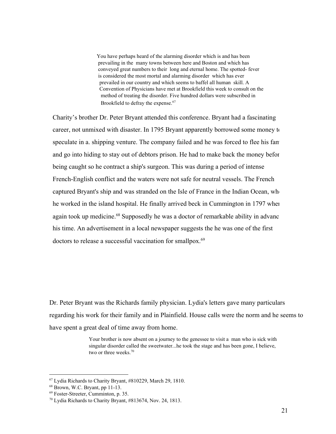You have perhaps heard of the alarming disorder which is and has been prevailing in the many towns between here and Boston and which has conveyed great numbers to their long and eternal home. The spotted-fever is considered the most mortal and alarming disorder which has ever prevailed in our country and which seems to baffel all human skill. A Convention of Physicians have met at Brookfield this week to consult on the method of treating the disorder. Five hundred dollars were subscribed in Brookfield to defray the expense. 67

Charity's brother Dr. Peter Bryant attended this conference. Bryant had a fascinating career, not unmixed with disaster. In 1795 Bryant apparently borrowed some money to speculate in a. shipping venture. The company failed and he was forced to flee his fan and go into hiding to stay out of debtors prison. He had to make back the money before being caught so he contract a ship's surgeon. This was during a period of intense French-English conflict and the waters were not safe for neutral vessels. The French captured Bryant's ship and was stranded on the Isle of France in the Indian Ocean, when he worked in the island hospital. He finally arrived beck in Cummington in 1797 when again took up medicine.<sup>68</sup> Supposedly he was a doctor of remarkable ability in advanc his time. An advertisement in a local newspaper suggests the he was one of the first doctors to release a successful vaccination for smallpox.<sup>69</sup>

Dr. Peter Bryant was the Richards family physician. Lydia's letters gave many particulars regarding his work for their family and in Plainfield. House calls were the norm and he seems to have spent a great deal of time away from home.

> Your brother is now absent on a journey to the genessee to visit a man who is sick with singular disorder called the sweetwater...he took the stage and has been gone, I believe, two or three weeks. 70

<sup>67</sup> Lydia Richards to Charity Bryant, #810229, March 29, 1810.

 $68$  Brown, W.C. Bryant, pp 11-13.

<sup>&</sup>lt;sup>69</sup> Foster-Streeter, Cumminton, p. 35.

<sup>70</sup> Lydia Richards to Charity Bryant, #813674, Nov. 24, 1813.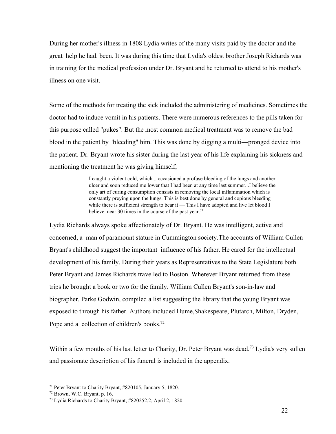During her mother's illness in 1808 Lydia writes of the many visits paid by the doctor and the great help he had. been. It was during this time that Lydia's oldest brother Joseph Richards was in training for the medical profession under Dr. Bryant and he returned to attend to his mother's illness on one visit.

Some of the methods for treating the sick included the administering of medicines. Sometimes the doctor had to induce vomit in his patients. There were numerous references to the pills taken for this purpose called "pukes". But the most common medical treatment was to remove the bad blood in the patient by "bleeding" him. This was done by digging a multi—pronged device into the patient. Dr. Bryant wrote his sister during the last year of his life explaining his sickness and mentioning the treatment he was giving himself;

> I caught a violent cold, which....occasioned a profuse bleeding of the lungs and another ulcer and soon reduced me lower that I had been at any time last summer...I believe the only art of curing consumption consists in removing the local inflammation which is constantly preying upon the lungs. This is best done by general and copious bleeding while there is sufficient strength to bear it — This I have adopted and live let blood I believe. near 30 times in the course of the past year.<sup>71</sup>

Lydia Richards always spoke affectionately of Dr. Bryant. He was intelligent, active and concerned, a man of paramount stature in Cummington society.The accounts of William Cullen Bryant's childhood suggest the important influence of his father. He cared for the intellectual development of his family. During their years as Representatives to the State Legislature both Peter Bryant and James Richards travelled to Boston. Wherever Bryant returned from these trips he brought a book or two for the family. William Cullen Bryant's son-in-law and biographer, Parke Godwin, compiled a list suggesting the library that the young Bryant was exposed to through his father. Authors included Hume,Shakespeare, Plutarch, Milton, Dryden, Pope and a collection of children's books.<sup>72</sup>

Within a few months of his last letter to Charity, Dr. Peter Bryant was dead.<sup>73</sup> Lydia's very sullen and passionate description of his funeral is included in the appendix.

<sup>71</sup> Peter Bryant to Charity Bryant, #820105, January 5, 1820.

 $72$  Brown, W.C. Bryant, p. 16.

<sup>73</sup> Lydia Richards to Charity Bryant, #820252.2, April 2, 1820.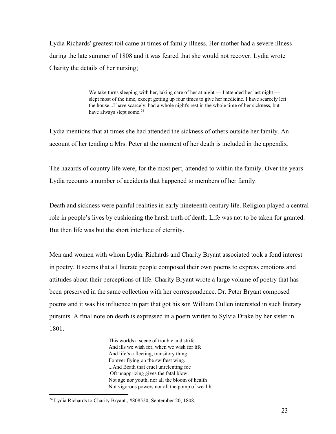Lydia Richards' greatest toil came at times of family illness. Her mother had a severe illness during the late summer of 1808 and it was feared that she would not recover. Lydia wrote Charity the details of her nursing;

> We take turns sleeping with her, taking care of her at night — I attended her last night slept most of the time, except getting up four times to give her medicine. I have scarcely left the house...I have scarcely, had a whole night's rest in the whole time of her sickness, but have always slept some.<sup>74</sup>

Lydia mentions that at times she had attended the sickness of others outside her family. An account of her tending a Mrs. Peter at the moment of her death is included in the appendix.

The hazards of country life were, for the most pert, attended to within the family. Over the years Lydia recounts a number of accidents that happened to members of her family.

Death and sickness were painful realities in early nineteenth century life. Religion played a central role in people's lives by cushioning the harsh truth of death. Life was not to be taken for granted. But then life was but the short interlude of eternity.

Men and women with whom Lydia. Richards and Charity Bryant associated took a fond interest in poetry. It seems that all literate people composed their own poems to express emotions and attitudes about their perceptions of life. Charity Bryant wrote a large volume of poetry that has been preserved in the same collection with her correspondence. Dr. Peter Bryant composed poems and it was his influence in part that got his son William Cullen interested in such literary pursuits. A final note on death is expressed in a poem written to Sylvia Drake by her sister in 1801.

> This worlds a scene of trouble and strife And ills we wish for, when we wish for life And life's a fleeting, transitory thing Forever flying on the swiftest wing. ...And Beath that cruel unrelenting foe Oft unapprizing gives the fatal blow: Not age nor youth, nor all the bloom of health Not vigorous powers nor all the pomp of wealth

<sup>74</sup> Lydia Richards to Charity Bryant., #808520, September 20, 1808.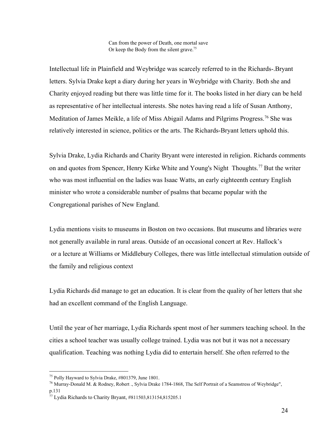Can from the power of Death, one mortal save Or keep the Body from the silent grave. 75

Intellectual life in Plainfield and Weybridge was scarcely referred to in the Richards-.Bryant letters. Sylvia Drake kept a diary during her years in Weybridge with Charity. Both she and Charity enjoyed reading but there was little time for it. The books listed in her diary can be held as representative of her intellectual interests. She notes having read a life of Susan Anthony, Meditation of James Meikle, a life of Miss Abigail Adams and Pilgrims Progress.<sup>76</sup> She was relatively interested in science, politics or the arts. The Richards-Bryant letters uphold this.

Sylvia Drake, Lydia Richards and Charity Bryant were interested in religion. Richards comments on and quotes from Spencer, Henry Kirke White and Young's Night Thoughts.<sup>77</sup> But the writer who was most influential on the ladies was Isaac Watts, an early eighteenth century English minister who wrote a considerable number of psalms that became popular with the Congregational parishes of New England.

Lydia mentions visits to museums in Boston on two occasions. But museums and libraries were not generally available in rural areas. Outside of an occasional concert at Rev. Hallock's or a lecture at Williams or Middlebury Colleges, there was little intellectual stimulation outside of the family and religious context

Lydia Richards did manage to get an education. It is clear from the quality of her letters that she had an excellent command of the English Language.

Until the year of her marriage, Lydia Richards spent most of her summers teaching school. In the cities a school teacher was usually college trained. Lydia was not but it was not a necessary qualification. Teaching was nothing Lydia did to entertain herself. She often referred to the

<sup>75</sup> Polly Hayward to Sylvia Drake, #801379, June 1801.

 $^{76}$  Murray-Donald M. & Rodney, Robert ., Sylvia Drake 1784-1868, The Self Portrait of a Seamstress of Weybridge", p.131

<sup>77</sup> Lydia Richards to Charity Bryant, #811503,813154,815205.1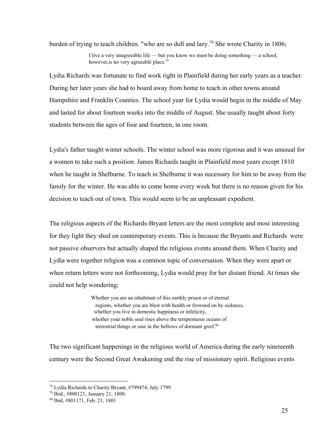burden of trying to teach children. "who are so dull and lazy.<sup>78</sup> She wrote Charity in 1806;

I live a very unagreeable life — but you know we must be doing something — a school, however, is no very agreeable place.<sup>79</sup>

Lydia Richards was fortunate to find work right in Plainfield during her early years as a teacher. During her later years she had to board away from home to teach in other towns around Hampshire and Franklin Counties. The school year for Lydia would begin in the middle of May and lasted for about fourteen weeks into the middle of August. She usually taught about forty students between the ages of four and fourteen, in one room.

Lydia's father taught winter schools. The winter school was more rigorous and it was unusual for a women to take such a position. James Richards taught in Plainfield most years except 1810 when he taught in Shelburne. To teach in Shelburne it was necessary for him to be away from the family for the winter. He was able to come home every week but there is no reason given for his decision to teach out of town. This would seem to be an unpleasant expedient.

The religious aspects of the Richards-Bryant letters are the most complete and most interesting for they light they shed on contemporary events. This is because the Bryants and Richards were not passive observers but actually shaped the religious events around them. When Charity and Lydia were together religion was a common topic of conversation. When they were apart or when return letters were not forthcoming, Lydia would pray for her distant friend. At times she could not help wondering;

> Whether you are an inhabitant of this earthly prison or of eternal regions, whether you are blest with health or frowned on by sickness, whether you live in domestic happiness or infelicity, whether your noble soul rises above the tempestuous oceans of terrestrial things or sine in the bellows of dormant grief.<sup>80</sup>

The two significant happenings in the religious world of America during the early nineteenth century were the Second Great Awakening end the rise of missionary spirit. Religious events

<sup>78</sup> Lydia Richards to Charity Bryant, #799474, July 1799.

<sup>79</sup> Ibid., #800121, January 21, 1800.

<sup>80</sup> Ibid, #801171, Feb. 21, 1801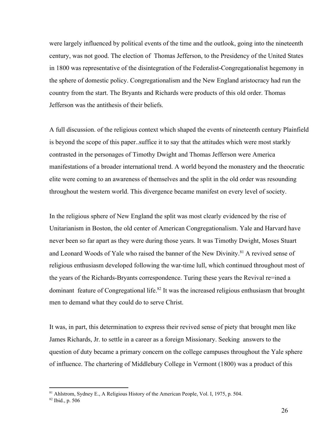were largely influenced by political events of the time and the outlook, going into the nineteenth century, was not good. The election of Thomas Jefferson, to the Presidency of the United States in 1800 was representative of the disintegration of the Federalist-Congregationalist hegemony in the sphere of domestic policy. Congregationalism and the New England aristocracy had run the country from the start. The Bryants and Richards were products of this old order. Thomas Jefferson was the antithesis of their beliefs.

A full discussion. of the religious context which shaped the events of nineteenth century Plainfield is beyond the scope of this paper..suffice it to say that the attitudes which were most starkly contrasted in the personages of Timothy Dwight and Thomas Jefferson were America manifestations of a broader international trend. A world beyond the monastery and the theocratic elite were coming to an awareness of themselves and the split in the old order was resounding throughout the western world. This divergence became manifest on every level of society.

In the religious sphere of New England the split was most clearly evidenced by the rise of Unitarianism in Boston, the old center of American Congregationalism. Yale and Harvard have never been so far apart as they were during those years. It was Timothy Dwight, Moses Stuart and Leonard Woods of Yale who raised the banner of the New Divinity.<sup>81</sup> A revived sense of religious enthusiasm developed following the war-time lull, which continued throughout most of the years of the Richards-Bryants correspondence. Turing these years the Revival re=ined a dominant feature of Congregational life.<sup>82</sup> It was the increased religious enthusiasm that brought men to demand what they could do to serve Christ.

It was, in part, this determination to express their revived sense of piety that brought men like James Richards, Jr. to settle in a career as a foreign Missionary. Seeking answers to the question of duty became a primary concern on the college campuses throughout the Yale sphere of influence. The chartering of Middlebury College in Vermont (1800) was a product of this

<sup>&</sup>lt;sup>81</sup> Ahlstrom, Sydney E., A Religious History of the American People, Vol. I, 1975, p. 504.

<sup>82</sup> Ibid., p. 506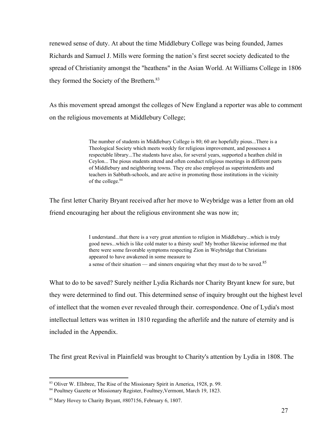renewed sense of duty. At about the time Middlebury College was being founded, James Richards and Samuel J. Mills were forming the nation's first secret society dedicated to the spread of Christianity amongst the "heathens" in the Asian World. At Williams College in 1806 they formed the Society of the Brethern. 83

As this movement spread amongst the colleges of New England a reporter was able to comment on the religious movements at Middlebury College;

> The number of students in Middlebury College is 80; 60 are hopefully pious...There is a Theological Society which meets weekly for religious improvement, and possesses a respectable library...The students have also, for several years, supported a heathen child in Ceylon... The pious students attend and often conduct religious meetings in different parts of Middlebury and neighboring towns. They ere also employed as superintendents and teachers in Sabbath-schools, and are active in promoting those institutions in the vicinity of the college. 84

The first letter Charity Bryant received after her move to Weybridge was a letter from an old friend encouraging her about the religious environment she was now in;

> I understand...that there is a very great attention to religion in Middlebury...which is truly good news...which is like cold mater to a thirsty soul! My brother likewise informed me that there were some favorable symptoms respecting Zion in Weybridge that Christians appeared to have awakened in some measure to a sense of their situation — and sinners enquiring what they must do to be saved.<sup>85</sup>

What to do to be saved? Surely neither Lydia Richards nor Charity Bryant knew for sure, but they were determined to find out. This determined sense of inquiry brought out the highest level of intellect that the women ever revealed through their. correspondence. One of Lydia's most intellectual letters was written in 1810 regarding the afterlife and the nature of eternity and is included in the Appendix.

The first great Revival in Plainfield was brought to Charity's attention by Lydia in 1808. The

<sup>&</sup>lt;sup>83</sup> Oliver W. Ellsbree, The Rise of the Missionary Spirit in America, 1928, p. 99.

<sup>84</sup> Poultney Gazette or Missionary Register, Foultney,Vermont, March 19, 1823.

<sup>85</sup> Mary Hovey to Charity Bryant, #807156, February 6, 1807.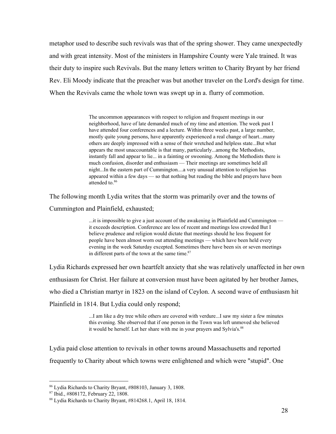metaphor used to describe such revivals was that of the spring shower. They came unexpectedly and with great intensity. Most of the ministers in Hampshire County were Yale trained. It was their duty to inspire such Revivals. But the many letters written to Charity Bryant by her friend Rev. Eli Moody indicate that the preacher was but another traveler on the Lord's design for time. When the Revivals came the whole town was swept up in a. flurry of commotion.

> The uncommon appearances with respect to religion and frequent meetings in our neighborhood, have of late demanded much of my time and attention. The week past I have attended four conferences and a lecture. Within three weeks past, a large number, mostly quite young persons, have apparently experienced a real change of heart...many others are deeply impressed with a sense of their wretched and helpless state...But what appears the most unaccountable is that many, particularly...among the Methodists, instantly fall and appear to lie... in a fainting or swooning. Among the Methodists there is much confusion, disorder and enthusiasm — Their meetings are sometimes held all night...In the eastern part of Cummington....a very unusual attention to religion has appeared within a few days — so that nothing but reading the bible and prayers have been attended to. 86

The following month Lydia writes that the storm was primarily over and the towns of

Cummington and Plainfield, exhausted;

...it is impossible to give a just account of the awakening in Plainfield and Cummington it exceeds description. Conference are less of recent and meetings less crowded But I believe prudence and religion would dictate that meetings should he less frequent for people have been almost worn out attending meetings — which have been held every evening in the week Saturday excepted. Sometimes there have been six or seven meetings in different parts of the town at the same time.<sup>87</sup>

Lydia Richards expressed her own heartfelt anxiety that she was relatively unaffected in her own

enthusiasm for Christ. Her failure at conversion must have been agitated by her brother James,

who died a Christian martyr in 1823 on the island of Ceylon. A second wave of enthusiasm hit

Plainfield in 1814. But Lydia could only respond;

...I am like a dry tree while others are covered with verdure...I saw my sister a few minutes this evening. She observed that if one person in the Town was left unmoved she believed it would be herself. Let her share with me in your prayers and Sylvia's.<sup>88</sup>

Lydia paid close attention to revivals in other towns around Massachusetts and reported frequently to Charity about which towns were enlightened and which were "stupid". One

<sup>86</sup> Lydia Richards to Charity Bryant, #808103, January 3, 1808.

<sup>87</sup> Ibid., #808172, February 22, 1808.

<sup>88</sup> Lydia Richards to Charity Bryant, #814268.1, April 18, 1814.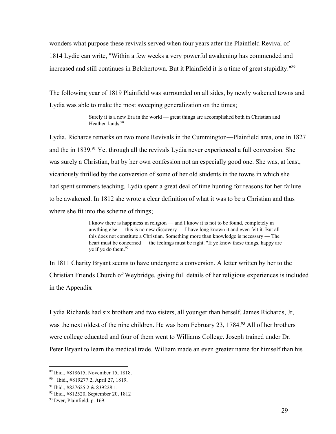wonders what purpose these revivals served when four years after the Plainfield Revival of 1814 Lydie can write, "Within a few weeks a very powerful awakening has commended and increased and still continues in Belchertown. But it Plainfield it is a time of great stupidity." 89

The following year of 1819 Plainfield was surrounded on all sides, by newly wakened towns and Lydia was able to make the most sweeping generalization on the times;

> Surely it is a new Era in the world — great things are accomplished both in Christian and Heathen lands. 90

Lydia. Richards remarks on two more Revivals in the Cummington—Plainfield area, one in 1827 and the in 1839.<sup>91</sup> Yet through all the revivals Lydia never experienced a full conversion. She was surely a Christian, but by her own confession not an especially good one. She was, at least, vicariously thrilled by the conversion of some of her old students in the towns in which she had spent summers teaching. Lydia spent a great deal of time hunting for reasons for her failure to be awakened. In 1812 she wrote a clear definition of what it was to be a Christian and thus where she fit into the scheme of things;

> I know there is happiness in religion — and I know it is not to be found, completely in anything else — this is no new discovery — I have long known it and even felt it. But all this does not constitute a Christian. Something more than knowledge is necessary — The heart must be concerned — the feelings must be right. "If ye know these things, happy are ye if ye do them. 92

In 1811 Charity Bryant seems to have undergone a conversion. A letter written by her to the Christian Friends Church of Weybridge, giving full details of her religious experiences is included in the Appendix

Lydia Richards had six brothers and two sisters, all younger than herself. James Richards, Jr, was the next oldest of the nine children. He was born February 23, 1784.<sup>93</sup> All of her brothers were college educated and four of them went to Williams College. Joseph trained under Dr. Peter Bryant to learn the medical trade. William made an even greater name for himself than his

<sup>89</sup> Ibid., #818615, November 15, 1818.

<sup>90</sup> Ibid., #819277.2, April 27, 1819.

<sup>&</sup>lt;sup>91</sup> Ibid., #827625.2 & 839228.1.

<sup>92</sup> Ibid., #812520, September 20, 1812

<sup>93</sup> Dyer, Plainfield, p. 169.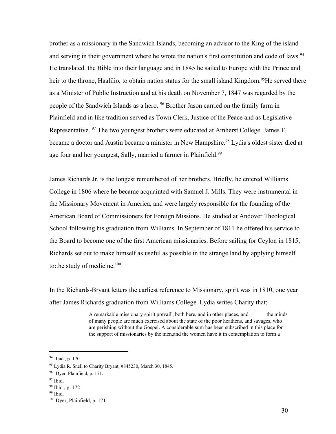brother as a missionary in the Sandwich Islands, becoming an advisor to the King of the island and serving in their government where he wrote the nation's first constitution and code of laws.<sup>94</sup> He translated. the Bible into their language and in 1845 he sailed to Europe with the Prince and heir to the throne, Haalilio, to obtain nation status for the small island Kingdom.<sup>95</sup>He served there as a Minister of Public Instruction and at his death on November 7, 1847 was regarded by the people of the Sandwich Islands as a hero. <sup>96</sup> Brother Jason carried on the family farm in Plainfield and in like tradition served as Town Clerk, Justice of the Peace and as Legislative Representative. <sup>97</sup> The two youngest brothers were educated at Amherst College. James F. became a doctor and Austin became a minister in New Hampshire.<sup>98</sup> Lydia's oldest sister died at age four and her youngest, Sally, married a farmer in Plainfield.<sup>99</sup>

James Richards Jr. is the longest remembered of her brothers. Briefly, he entered Williams College in 1806 where he became acquainted with Samuel J. Mills. They were instrumental in the Missionary Movement in America, and were largely responsible for the founding of the American Board of Commissioners for Foreign Missions. He studied at Andover Theological School following his graduation from Williams. In September of 1811 he offered his service to the Board to become one of the first American missionaries. Before sailing for Ceylon in 1815, Richards set out to make himself as useful as possible in the strange land by applying himself to:the study of medicine. 100

In the Richards-Bryant letters the earliest reference to Missionary, spirit was in 1810, one year after James Richards graduation from Williams College. Lydia writes Charity that;

> A remarkable missionary spirit prevail', both here, and in other places, and the minds of many people are much exercised about the state of the poor heathens, and savages, who are perishing without the Gospel. A considerable sum has been subscribed in this place for the support of missionaries by the men,and the women have it in contemplation to form a

<sup>&</sup>lt;sup>94</sup> Ibid., p. 170.

<sup>95</sup> Lydia R. Snell to Charity Bryant, #845230, March 30, 1845.

<sup>96</sup> Dyer, Plainfield, p. 171.

<sup>97</sup> Ibid.

<sup>98</sup> Ibid., p. 172

<sup>99</sup> Ibid.

<sup>100</sup> Dyer, Plainfield, p. 171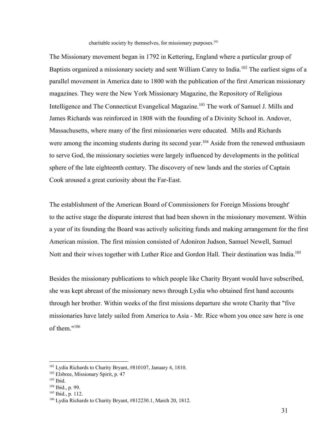charitable society by themselves, for missionary purposes. 101

The Missionary movement began in 1792 in Kettering, England where a particular group of Baptists organized a missionary society and sent William Carey to India.<sup>102</sup> The earliest signs of a parallel movement in America date to 1800 with the publication of the first American missionary magazines. They were the New York Missionary Magazine, the Repository of Religious Intelligence and The Connecticut Evangelical Magazine.<sup>103</sup> The work of Samuel J. Mills and James Richards was reinforced in 1808 with the founding of a Divinity School in. Andover, Massachusetts, where many of the first missionaries were educated. Mills and Richards were among the incoming students during its second year.<sup>104</sup> Aside from the renewed enthusiasm to serve God, the missionary societies were largely influenced by developments in the political sphere of the late eighteenth century. The discovery of new lands and the stories of Captain Cook aroused a great curiosity about the Far-East.

The establishment of the American Board of Commissioners for Foreign Missions brought' to the active stage the disparate interest that had been shown in the missionary movement. Within a year of its founding the Board was actively soliciting funds and making arrangement for the first American mission. The first mission consisted of Adoniron Judson, Samuel Newell, Samuel Nott and their wives together with Luther Rice and Gordon Hall. Their destination was India.<sup>105</sup>

Besides the missionary publications to which people like Charity Bryant would have subscribed, she was kept abreast of the missionary news through Lydia who obtained first hand accounts through her brother. Within weeks of the first missions departure she wrote Charity that "five missionaries have lately sailed from America to Asia - Mr. Rice whom you once saw here is one of them." 106

<sup>101</sup> Lydia Richards to Charity Bryant, #810107, January 4, 1810.

<sup>102</sup> Elsbree, Missionary Spirit, p. 47

<sup>103</sup> Ibid.

<sup>104</sup> Ibid., p. 99.

<sup>105</sup> Ibid., p. 112.

<sup>106</sup> Lydia Richards to Charity Bryant, #812230.1, March 20, 1812.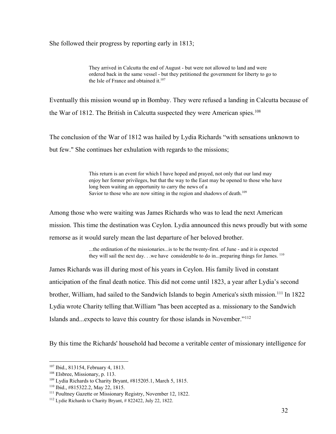She followed their progress by reporting early in 1813;

They arrived in Calcutta the end of August - but were not allowed to land and were ordered back in the same vessel - but they petitioned the government for liberty to go to the Isle of France and obtained it. 107

Eventually this mission wound up in Bombay. They were refused a landing in Calcutta because of the War of 1812. The British in Calcutta suspected they were American spies. 108

The conclusion of the War of 1812 was hailed by Lydia Richards "with sensations unknown to but few." She continues her exhulation with regards to the missions;

> This return is an event for which I have hoped and prayed, not only that our land may enjoy her former privileges, but that the way to the East may be opened to those who have long been waiting an opportunity to carry the news of a Savior to those who are now sitting in the region and shadows of death.<sup>109</sup>

Among those who were waiting was James Richards who was to lead the next American mission. This time the destination was Ceylon. Lydia announced this news proudly but with some remorse as it would surely mean the last departure of her beloved brother.

> ...the ordination of the missionaries...is to be the twenty-first. of June - and it is expected they will sail the next day. . .we have considerable to do in...preparing things for James.  $^{110}$

James Richards was ill during most of his years in Ceylon. His family lived in constant anticipation of the final death notice. This did not come until 1823, a year after Lydia's second brother, William, had sailed to the Sandwich Islands to begin America's sixth mission.<sup>111</sup> In 1822 Lydia wrote Charity telling that.William "has been accepted as a. missionary to the Sandwich Islands and...expects to leave this country for those islands in November." 112

By this time the Richards' household had become a veritable center of missionary intelligence for

<sup>107</sup> Ibid., 813154, February 4, 1813.

<sup>108</sup> Elsbree, Missionary, p. 113.

<sup>109</sup> Lydia Richards to Charity Bryant, #815205.1, March 5, 1815.

<sup>110</sup> Ibid., #815322.2, May 22, 1815.

<sup>111</sup> Poultney Gazette or Missionary Registry, November 12, 1822.

<sup>112</sup> Lydie Richards to Charity Bryant, # 822422, July 22, 1822.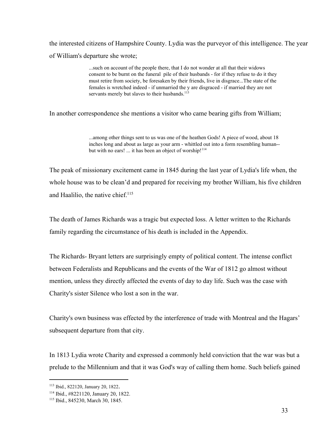the interested citizens of Hampshire County. Lydia was the purveyor of this intelligence. The year of William's departure she wrote;

> ...such on account of the people there, that I do not wonder at all that their widows consent to be burnt on the funeral pile of their husbands - for if they refuse to do it they must retire from society, be foresaken by their friends, live in disgrace...The state of the females is wretched indeed - if unmarried the y are disgraced - if married they are not servants merely but slaves to their husbands.<sup>113</sup>

In another correspondence she mentions a visitor who came bearing gifts from William;

...among other things sent to us was one of the heathen Gods! A piece of wood, about 18 inches long and about as large as your arm - whittled out into a form resembling human-but with no ears! ... it has been an object of worship!<sup>114</sup>

The peak of missionary excitement came in 1845 during the last year of Lydia's life when, the whole house was to be clean'd and prepared for receiving my brother William, his five children and Haalilio, the native chief. 115

The death of James Richards was a tragic but expected loss. A letter written to the Richards family regarding the circumstance of his death is included in the Appendix.

The Richards-Bryant letters are surprisingly empty of political content. The intense conflict between Federalists and Republicans and the events of the War of 1812 go almost without mention, unless they directly affected the events of day to day life. Such was the case with Charity's sister Silence who lost a son in the war.

Charity's own business was effected by the interference of trade with Montreal and the Hagars' subsequent departure from that city.

In 1813 Lydia wrote Charity and expressed a commonly held conviction that the war was but a prelude to the Millennium and that it was God's way of calling them home. Such beliefs gained

<sup>113</sup> Ibid., 822120, January 20, 1822.

<sup>114</sup> Ibid., #8221120, January 20, 1822.

<sup>115</sup> Ibid., 845230, March 30, 1845.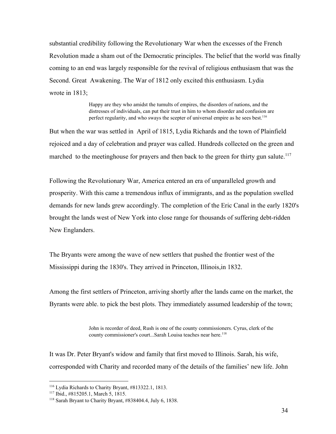substantial credibility following the Revolutionary War when the excesses of the French Revolution made a sham out of the Democratic principles. The belief that the world was finally coming to an end was largely responsible for the revival of religious enthusiasm that was the Second. Great Awakening. The War of 1812 only excited this enthusiasm. Lydia wrote in 1813;

> Happy are they who amidst the tumults of empires, the disorders of nations, and the distresses of individuals, can put their trust in him to whom disorder and confusion are perfect regularity, and who sways the scepter of universal empire as he sees best.<sup>116</sup>

But when the war was settled in April of 1815, Lydia Richards and the town of Plainfield rejoiced and a day of celebration and prayer was called. Hundreds collected on the green and marched to the meetinghouse for prayers and then back to the green for thirty gun salute.<sup>117</sup>

Following the Revolutionary War, America entered an era of unparalleled growth and prosperity. With this came a tremendous influx of immigrants, and as the population swelled demands for new lands grew accordingly. The completion of the Eric Canal in the early 1820's brought the lands west of New York into close range for thousands of suffering debt-ridden New Englanders.

The Bryants were among the wave of new settlers that pushed the frontier west of the Mississippi during the 1830's. They arrived in Princeton, Illinois,in 1832.

Among the first settlers of Princeton, arriving shortly after the lands came on the market, the Byrants were able. to pick the best plots. They immediately assumed leadership of the town;

> John is recorder of deed, Rush is one of the county commissioners. Cyrus, clerk of the county commissioner's court...Sarah Louisa teaches near here. 118

It was Dr. Peter Bryant's widow and family that first moved to Illinois. Sarah, his wife, corresponded with Charity and recorded many of the details of the families' new life. John

<sup>116</sup> Lydia Richards to Charity Bryant, #813322.1, 1813.

<sup>117</sup> Ibid., #815205.1, March 5, 1815.

<sup>118</sup> Sarah Bryant to Charity Bryant, #838404.4, July 6, 1838.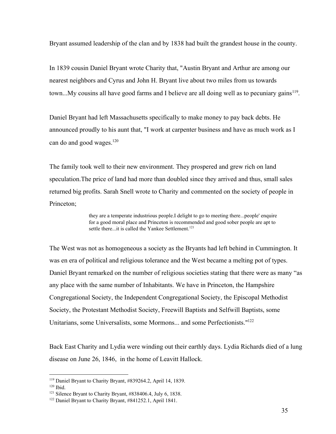Bryant assumed leadership of the clan and by 1838 had built the grandest house in the county.

In 1839 cousin Daniel Bryant wrote Charity that, "Austin Bryant and Arthur are among our nearest neighbors and Cyrus and John H. Bryant live about two miles from us towards town...My cousins all have good farms and I believe are all doing well as to pecuniary gains<sup>119</sup>.

Daniel Bryant had left Massachusetts specifically to make money to pay back debts. He announced proudly to his aunt that, "I work at carpenter business and have as much work as I can do and good wages. 120

The family took well to their new environment. They prospered and grew rich on land speculation.The price of land had more than doubled since they arrived and thus, small sales returned big profits. Sarah Snell wrote to Charity and commented on the society of people in Princeton;

> they are a temperate industrious people.I delight to go to meeting there...people' enquire for a good moral place and Princeton is recommended and good sober people are apt to settle there...it is called the Yankee Settlement.<sup>121</sup>

The West was not as homogeneous a society as the Bryants had left behind in Cummington. It was en era of political and religious tolerance and the West became a melting pot of types. Daniel Bryant remarked on the number of religious societies stating that there were as many "as any place with the same number of Inhabitants. We have in Princeton, the Hampshire Congregational Society, the Independent Congregational Society, the Episcopal Methodist Society, the Protestant Methodist Society, Freewill Baptists and Selfwill Baptists, some Unitarians, some Universalists, some Mormons... and some Perfectionists."<sup>122</sup>

Back East Charity and Lydia were winding out their earthly days. Lydia Richards died of a lung disease on June 26, 1846, in the home of Leavitt Hallock.

<sup>119</sup> Daniel Bryant to Charity Bryant, #839264.2, April 14, 1839.

<sup>120</sup> Ibid.

<sup>121</sup> Silence Bryant to Charity Bryant, #838406.4, July 6, 1838.

<sup>122</sup> Daniel Bryant to Charity Bryant, #841252.1, April 1841.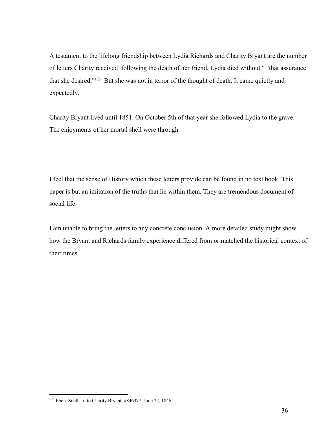A testament to the lifelong friendship between Lydia Richards and Charity Bryant are the number of letters Charity received following the death of her friend. Lydia died without " "that assurance that she desired."<sup>123</sup> But she was not in terror of the thought of death. It came quietly and expectedly.

Charity Bryant lived until 1851. On October 5th of that year she followed Lydia to the grave. The enjoyments of her mortal shell were through.

I feel that the sense of History which these letters provide can be found in no text book. This paper is but an imitation of the truths that lie within them. They are tremendous document of social life.

I am unable to bring the letters to any concrete conclusion. A more detailed study might show how the Bryant and Richards family experience differed from or matched the historical context of their times.

<sup>123</sup> Eben. Snell, Jr. to Charity Bryant, #846377, June 27, 1846.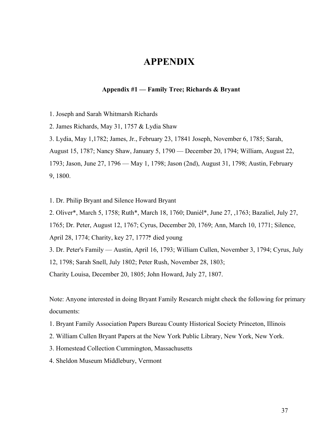# **APPENDIX**

## **Appendix #1 — Family Tree; Richards & Bryant**

1. Joseph and Sarah Whitmarsh Richards

2. James Richards, May 31, 1757 & Lydia Shaw

3. Lydia, May 1,1782; James, Jr., February 23, 17841 Joseph, November 6, 1785; Sarah,

August 15, 1787; Nancy Shaw, January 5, 1790 — December 20, 1794; William, August 22,

1793; Jason, June 27, 1796 — May 1, 1798; Jason (2nd), August 31, 1798; Austin, February 9, 1800.

1. Dr. Philip Bryant and Silence Howard Bryant

2. Oliver\*, March 5, 1758; Ruth\*, March 18, 1760; Daniél\*, June 27, ,1763; Bazaliel, July 27,

1765; Dr. Peter, August 12, 1767; Cyrus, December 20, 1769; Ann, March 10, 1771; Silence,

April 28, 1774; Charity, key 27, 1777\*. died young

3. Dr. Peter's Family — Austin, April 16, 1793; William Cullen, November 3, 1794; Cyrus, July

12, 1798; Sarah Snell, July 1802; Peter Rush, November 28, 1803;

Charity Louisa, December 20, 1805; John Howard, July 27, 1807.

Note: Anyone interested in doing Bryant Family Research might check the following for primary documents:

- 1. Bryant Family Association Papers Bureau County Historical Society Princeton, Illinois
- 2. William Cullen Bryant Papers at the New York Public Library, New York, New York.
- 3. Homestead Collection Cummington, Massachusetts
- 4. Sheldon Museum Middlebury, Vermont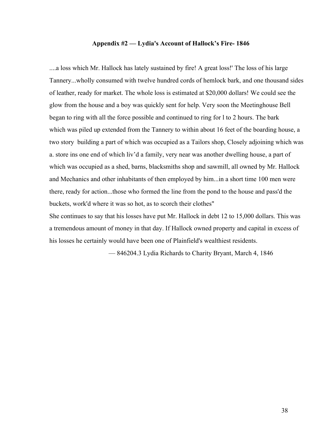## **Appendix #2 — Lydia's Account of Hallock's Fire 1846**

....a loss which Mr. Hallock has lately sustained by fire! A great loss!' The loss of his large Tannery...wholly consumed with twelve hundred cords of hemlock bark, and one thousand sides of leather, ready for market. The whole loss is estimated at \$20,000 dollars! We could see the glow from the house and a boy was quickly sent for help. Very soon the Meetinghouse Bell began to ring with all the force possible and continued to ring for l to 2 hours. The bark which was piled up extended from the Tannery to within about 16 feet of the boarding house, a two story building a part of which was occupied as a Tailors shop, Closely adjoining which was a. store ins one end of which liv'd a family, very near was another dwelling house, a part of which was occupied as a shed, barns, blacksmiths shop and sawmill, all owned by Mr. HalIock and Mechanics and other inhabitants of then employed by him...in a short time 100 men were there, ready for action...those who formed the line from the pond to the house and pass'd the buckets, work'd where it was so hot, as to scorch their clothes"

She continues to say that his losses have put Mr. Hallock in debt 12 to 15,000 dollars. This was a tremendous amount of money in that day. If Hallock owned property and capital in excess of his losses he certainly would have been one of Plainfield's wealthiest residents.

— 846204.3 Lydia Richards to Charity Bryant, March 4, 1846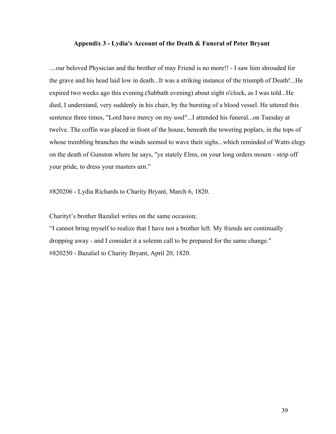## **Appendix 3 Lydia's Account of the Death & Funeral of Peter Bryant**

....our beloved Physician and the brother of may Friend is no more!! - I saw him shrouded for the grave and his head laid low in death...It was a striking instance of the triumph of Death!...He expired two weeks ago this evening.(Sabbath evening) about eight o'clock, as I was told...He died, I understand, very suddenly in his chair, by the bursting of a blood vessel. He uttered this sentence three times, "Lord have mercy on my soul"...I attended his funeral...on Tuesday at twelve. The coffin was placed in front of the house, beneath the towering poplars, in the tops of whose trembling branches the winds seemed to wave their sighs...which reminded of Watts elegy on the death of Gunston where he says, "ye stately Elms, on your long orders mourn - strip off your pride, to dress your masters urn."

#820206 Lydia Richards to Charity Bryant, March 6, 1820.

Charityt's brother Bazaliel writes on the same occasion;

"I cannot bring myself to realize that I have not a brother left. My friends are continually dropping away - and I consider it a solemn call to be prepared for the same change." #820250 Bazaliel to Charity Bryant, April 20, 1820.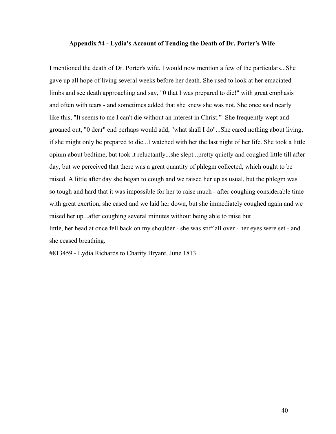## **Appendix #4 Lydia's Account of Tending the Death of Dr. Porter's Wife**

I mentioned the death of Dr. Porter's wife. I would now mention a few of the particulars...She gave up all hope of living several weeks before her death. She used to look at her emaciated limbs and see death approaching and say, "0 that I was prepared to die!" with great emphasis and often with tears - and sometimes added that she knew she was not. She once said nearly like this, "It seems to me I can't die without an interest in Christ." She frequently wept and groaned out, "0 dear" end perhaps would add, "what shall I do"...She cared nothing about living, if she might only be prepared to die...I watched with her the last night of her life. She took a little opium about bedtime, but took it reluctantly...she slept...pretty quietly and coughed little till after day, but we perceived that there was a great quantity of phlegm collected, which ought to be raised. A little after day she began to cough and we raised her up as usual, but the phlegm was so tough and hard that it was impossible for her to raise much - after coughing considerable time with great exertion, she eased and we laid her down, but she immediately coughed again and we raised her up...after coughing several minutes without being able to raise but little, her head at once fell back on my shoulder - she was stiff all over - her eyes were set - and she ceased breathing.

#813459 Lydia Richards to Charity Bryant, June 1813.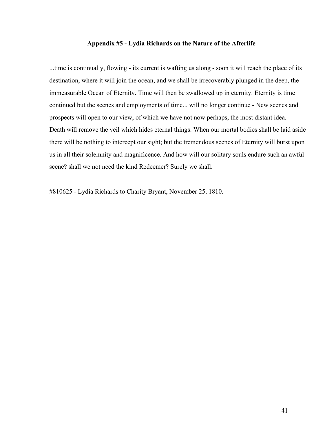#### **Appendix #5 Lydia Richards on the Nature of the Afterlife**

...time is continually, flowing - its current is wafting us along - soon it will reach the place of its destination, where it will join the ocean, and we shall be irrecoverably plunged in the deep, the immeasurable Ocean of Eternity. Time will then be swallowed up in eternity. Eternity is time continued but the scenes and employments of time... will no longer continue - New scenes and prospects will open to our view, of which we have not now perhaps, the most distant idea. Death will remove the veil which hides eternal things. When our mortal bodies shall be laid aside there will be nothing to intercept our sight; but the tremendous scenes of Eternity will burst upon us in all their solemnity and magnificence. And how will our solitary souls endure such an awful scene? shall we not need the kind Redeemer? Surely we shall.

#810625 Lydia Richards to Charity Bryant, November 25, 1810.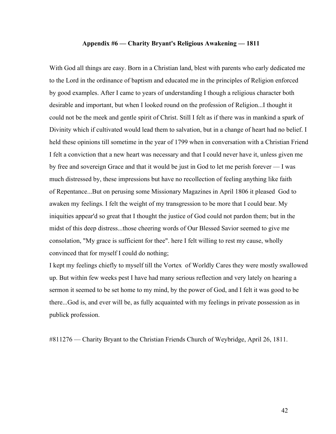## **Appendix #6 — Charity Bryant's Religious Awakening — 1811**

With God all things are easy. Born in a Christian land, blest with parents who early dedicated me to the Lord in the ordinance of baptism and educated me in the principles of Religion enforced by good examples. After I came to years of understanding I though a religious character both desirable and important, but when I looked round on the profession of Religion...I thought it could not be the meek and gentle spirit of Christ. Still I felt as if there was in mankind a spark of Divinity which if cultivated would lead them to salvation, but in a change of heart had no belief. I held these opinions till sometime in the year of 1799 when in conversation with a Christian Friend I felt a conviction that a new heart was necessary and that I could never have it, unless given me by free and sovereign Grace and that it would be just in God to let me perish forever — I was much distressed by, these impressions but have no recollection of feeling anything like faith of Repentance...But on perusing some Missionary Magazines in April 1806 it pleased God to awaken my feelings. I felt the weight of my transgression to be more that I could bear. My iniquities appear'd so great that I thought the justice of God could not pardon them; but in the midst of this deep distress...those cheering words of Our Blessed Savior seemed to give me consolation, "My grace is sufficient for thee". here I felt willing to rest my cause, wholly convinced that for myself I could do nothing;

I kept my feelings chiefly to myself till the Vortex of Worldly Cares they were mostly swallowed up. But within few weeks pest I have had many serious reflection and very lately on hearing a sermon it seemed to be set home to my mind, by the power of God, and I felt it was good to be there...God is, and ever will be, as fully acquainted with my feelings in private possession as in publick profession.

#811276 — Charity Bryant to the Christian Friends Church of Weybridge, April 26, 1811.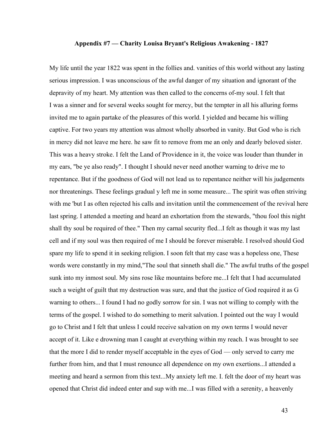## **Appendix #7 — Charity Louisa Bryant's Religious Awakening 1827**

My life until the year 1822 was spent in the follies and. vanities of this world without any lasting serious impression. I was unconscious of the awful danger of my situation and ignorant of the depravity of my heart. My attention was then called to the concerns of-my soul. I felt that I was a sinner and for several weeks sought for mercy, but the tempter in all his alluring forms invited me to again partake of the pleasures of this world. I yielded and became his willing captive. For two years my attention was almost wholly absorbed in vanity. But God who is rich in mercy did not leave me here. he saw fit to remove from me an only and dearly beloved sister. This was a heavy stroke. I felt the Land of Providence in it, the voice was louder than thunder in my ears, "be ye also ready". I thought I should never need another warning to drive me to repentance. But if the goodness of God will not lead us to repentance neither will his judgements nor threatenings. These feelings gradual y left me in some measure... The spirit was often striving with me 'but I as often rejected his calls and invitation until the commencement of the revival here last spring. I attended a meeting and heard an exhortation from the stewards, "thou fool this night shall thy soul be required of thee." Then my carnal security fled...I felt as though it was my last cell and if my soul was then required of me I should be forever miserable. I resolved should God spare my life to spend it in seeking religion. I soon felt that my case was a hopeless one, These words were constantly in my mind,"The soul that sinneth shall die." The awful truths of the gospel sunk into my inmost soul. My sins rose like mountains before me...I felt that I had accumulated such a weight of guilt that my destruction was sure, and that the justice of God required it as G warning to others... I found I had no godly sorrow for sin. I was not willing to comply with the terms of the gospel. I wished to do something to merit salvation. I pointed out the way I would go to Christ and I felt that unless I could receive salvation on my own terms I would never accept of it. Like e drowning man I caught at everything within my reach. I was brought to see that the more I did to render myself acceptable in the eyes of God — only served to carry me further from him, and that I must renounce all dependence on my own exertions...I attended a meeting and heard a sermon from this text...My anxiety left me. I. felt the door of my heart was opened that Christ did indeed enter and sup with me...I was filled with a serenity, a heavenly

43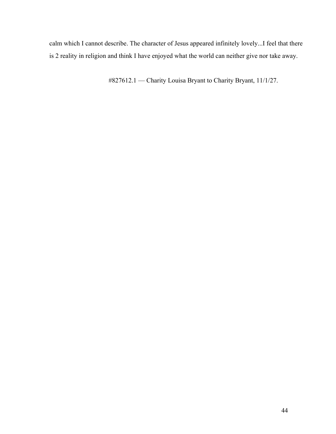calm which I cannot describe. The character of Jesus appeared infinitely lovely...I feel that there is 2 reality in religion and think I have enjoyed what the world can neither give nor take away.

#827612.1 — Charity Louisa Bryant to Charity Bryant, 11/1/27.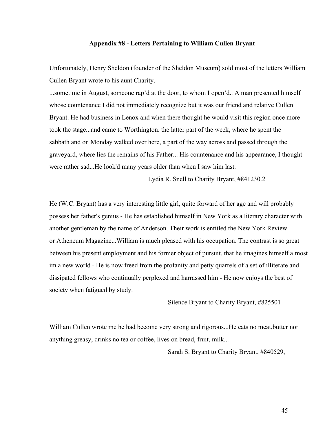## **Appendix #8 Letters Pertaining to William Cullen Bryant**

Unfortunately, Henry Sheldon (founder of the Sheldon Museum) sold most of the letters William Cullen Bryant wrote to his aunt Charity.

...sometime in August, someone rap'd at the door, to whom I open'd.. A man presented himself whose countenance I did not immediately recognize but it was our friend and relative Cullen Bryant. He had business in Lenox and when there thought he would visit this region once more took the stage...and came to Worthington. the latter part of the week, where he spent the sabbath and on Monday walked over here, a part of the way across and passed through the graveyard, where lies the remains of his Father... His countenance and his appearance, I thought were rather sad...He look'd many years older than when I saw him last.

Lydia R. Snell to Charity Bryant, #841230.2

He (W.C. Bryant) has a very interesting little girl, quite forward of her age and will probably possess her father's genius - He has established himself in New York as a literary character with another gentleman by the name of Anderson. Their work is entitled the New York Review or Atheneum Magazine...William is much pleased with his occupation. The contrast is so great between his present employment and his former object of pursuit. that he imagines himself almost im a new world - He is now freed from the profanity and petty quarrels of a set of illiterate and dissipated fellows who continually perplexed and harrassed him - He now enjoys the best of society when fatigued by study.

Silence Bryant to Charity Bryant, #825501

William Cullen wrote me he had become very strong and rigorous...He eats no meat,butter nor anything greasy, drinks no tea or coffee, lives on bread, fruit, milk...

Sarah S. Bryant to Charity Bryant, #840529,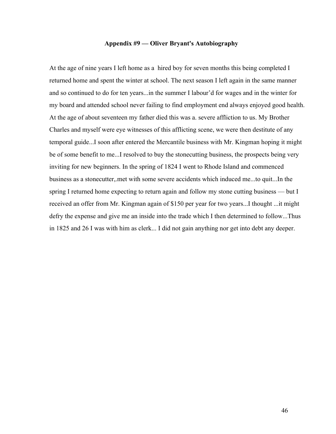## **Appendix #9 — Oliver Bryant's Autobiography**

At the age of nine years I left home as a hired boy for seven months this being completed I returned home and spent the winter at school. The next season I left again in the same manner and so continued to do for ten years...in the summer I labour'd for wages and in the winter for my board and attended school never failing to find employment end always enjoyed good health. At the age of about seventeen my father died this was a. severe affliction to us. My Brother Charles and myself were eye witnesses of this afflicting scene, we were then destitute of any temporal guide...I soon after entered the Mercantile business with Mr. Kingman hoping it might be of some benefit to me...I resolved to buy the stonecutting business, the prospects being very inviting for new beginners. In the spring of 1824 I went to Rhode Island and commenced business as a stonecutter,.met with some severe accidents which induced me...to quit...In the spring I returned home expecting to return again and follow my stone cutting business — but I received an offer from Mr. Kingman again of \$150 per year for two years...I thought ...it might defry the expense and give me an inside into the trade which I then determined to follow...Thus in 1825 and 26 I was with him as clerk... I did not gain anything nor get into debt any deeper.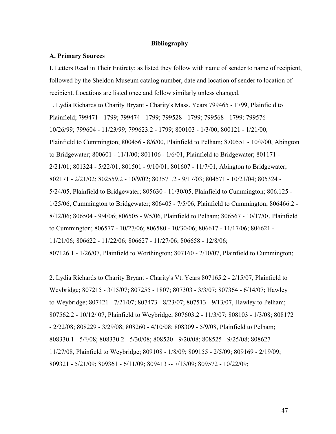## **Bibliography**

## **A. Primary Sources**

I. Letters Read in Their Entirety: as listed they follow with name of sender to name of recipient, followed by the Sheldon Museum catalog number, date and location of sender to location of recipient. Locations are listed once and follow similarly unless changed.

1. Lydia Richards to Charity Bryant Charity's Mass. Years 799465 1799, Plainfield to Plainfield; 799471 - 1799; 799474 - 1799; 799528 - 1799; 799568 - 1799; 799576 -10/26/99; 799604 11/23/99; 799623.2 1799; 800103 1/3/00; 800121 1/21/00, Plainfield to Cummington; 800456 - 8/6/00, Plainfield to Pelham; 8.00551 - 10/9/00, Abington to Bridgewater; 800601 - 11/1/00; 801106 - 1/6/01, Plainfield to Bridgewater; 801171 -2/21/01; 801324 5/22/01; 801501 9/10/01; 801607 11/7/01, Abington to Bridgewater; 802171 - 2/21/02; 802559.2 - 10/9/02; 803571.2 - 9/17/03; 804571 - 10/21/04; 805324 -5/24/05, Plainfield to Bridgewater; 805630 - 11/30/05, Plainfield to Cummington; 806.125 - $1/25/06$ , Cummington to Bridgewater; 806405 - 7/5/06, Plainfield to Cummington; 806466.2 -8/12/06; 806504 - 9/4/06; 806505 - 9/5/06, Plainfield to Pelham; 806567 - 10/17/0•, Plainfield to Cummington; 806577 - 10/27/06; 806580 - 10/30/06; 806617 - 11/17/06; 806621 -11/21/06; 806622 - 11/22/06; 806627 - 11/27/06; 806658 - 12/8/06;

807126.1 1/26/07, Plainfield to Worthington; 807160 2/10/07, Plainfield to Cummington;

2. Lydia Richards to Charity Bryant - Charity's Vt. Years 807165.2 - 2/15/07, Plainfield to Weybridge; 807215 - 3/15/07; 807255 - 1807; 807303 - 3/3/07; 807364 - 6/14/07; Hawley to Weybridge; 807421 - 7/21/07; 807473 - 8/23/07; 807513 - 9/13/07, Hawley to Pelham; 807562.2 10/12/ 07, Plainfield to Weybridge; 807603.2 11/3/07; 808103 1/3/08; 808172 2/22/08; 808229 3/29/08; 808260 4/10/08; 808309 5/9/08, Plainfield to Pelham; 808330.1 5/?/08; 808330.2 5/30/08; 808520 9/20/08; 808525 9/25/08; 808627 11/27/08, Plainfield to Weybridge; 809108 1/8/09; 809155 2/5/09; 809169 2/19/09; 809321 - 5/21/09; 809361 - 6/11/09; 809413 -- 7/13/09; 809572 - 10/22/09;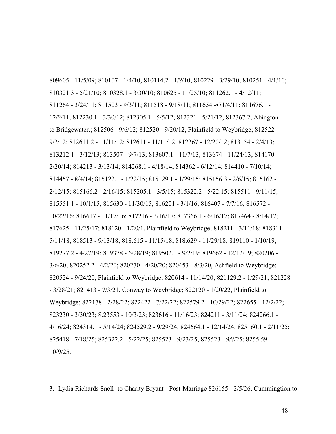809605 - 11/5/09; 810107 - 1/4/10; 810114.2 - 1/?/10; 810229 - 3/29/10; 810251 - 4/1/10; 810321.3 - 5/21/10; 810328.1 - 3/30/10; 810625 - 11/25/10; 811262.1 - 4/12/11; 811264 - 3/24/11; 811503 - 9/3/11; 811518 - 9/18/11; 811654 - 71/4/11; 811676.1 -12/?/11; 812230.1 3/30/12; 812305.1 5/5/12; 812321 5/21/12; 812367.2, Abington to Bridgewater.; 812506 - 9/6/12; 812520 - 9/20/12, Plainfield to Weybridge; 812522 - $9$ /?/12; 812611.2 - 11/11/12; 812611 - 11/11/12; 812267 - 12/20/12; 813154 - 2/4/13; 813212.1 - 3/12/13; 813507 - 9/7/13; 813607.1 - 11/7/13; 813674 - 11/24/13; 814170 -2/20/14; 814213 3/13/14; 814268.1 4/18/14; 814362 6/12/14; 814410 7/10/14; 814457 - 8/4/14; 815122.1 - 1/22/15; 815129.1 - 1/29/15; 815156.3 - 2/6/15; 815162 -2/12/15; 815166.2 - 2/16/15; 815205.1 - 3/5/15; 815322.2 - 5/22.15; 815511 - 9/11/15; 815551.1 - 10/1/15; 815630 - 11/30/15; 816201 - 3/1/16; 816407 - 7/7/16; 816572 -10/22/16; 816617 - 11/17/16; 817216 - 3/16/17; 817366.1 - 6/16/17; 817464 - 8/14/17; 817625 - 11/25/17; 818120 - 1/20/1, Plainfield to Weybridge; 818211 - 3/11/18; 818311 -5/11/18; 818513 - 9/13/18; 818.615 - 11/15/18; 818.629 - 11/29/18; 819110 - 1/10/19; 819277.2 - 4/27/19; 819378 - 6/28/19; 819502.1 - 9/2/19; 819662 - 12/12/19; 820206 -3/6/20; 820252.2 - 4/2/20; 820270 - 4/20/20; 820453 - 8/3/20, Ashfield to Weybridge; 820524 9/24/20, Plainfield to Weybridge; 820614 11/14/20; 821129.2 1/29/21; 821228 3/28/21; 821413 7/3/21, Conway to Weybridge; 822120 1/20/22, Plainfield to Weybridge; 822178 - 2/28/22; 822422 - 7/22/22; 822579.2 - 10/29/22; 822655 - 12/2/22; 823230 - 3/30/23; 8.23553 - 10/3/23; 823616 - 11/16/23; 824211 - 3/11/24; 824266.1 -4/16/24; 824314.1 5/14/24; 824529.2 9/29/24; 824664.1 12/14/24; 825160.1 2/11/25; 825418 - 7/18/25; 825322.2 - 5/22/25; 825523 - 9/23/25; 825523 - 9/?/25; 8255.59 -10/9/25.

3. -Lydia Richards Snell -to Charity Bryant - Post-Marriage 826155 - 2/5/26, Cummingtion to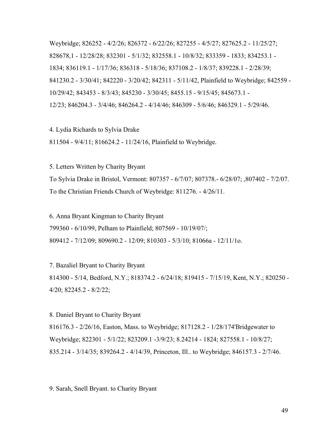Weybridge; 826252 4/2/26; 826372 6/22/26; 827255 4/5/27; 827625.2 11/25/27; 828678,1 - 12/28/28; 832301 - 5/1/32; 832558.1 - 10/8/32; 833359 - 1833; 834253.1 -1834; 836119.1 1/17/36; 836318 5/18/36; 837108.2 1/8/37; 839228.1 2/28/39; 841230.2 - 3/30/41; 842220 - 3/20/42; 842311 - 5/11/42, Plainfield to Weybridge; 842559 -10/29/42; 843453 - 8/3/43; 845230 - 3/30/45; 8455.15 - 9/15/45; 845673.1 -12/23; 846204.3 - 3/4/46; 846264.2 - 4/14/46; 846309 - 5/6/46; 846329.1 - 5/29/46.

4. Lydia Richards to Sylvia Drake

811504 - 9/4/11; 816624.2 - 11/24/16, Plainfield to Weybridge.

5. Letters Written by Charity Bryant To Sylvia Drake in Bristol, Vermont: 807357 6/7/07; 807378. 6/28/07; ,807402 7/2/07. To the Christian Friends Church of Weybridge: 811276. - 4/26/11.

6. Anna Bryant Kingman to Charity Bryant 799360 - 6/10/99, Pelham to Plainfield; 807569 - 10/19/07/; 809412 7/12/09; 809690.2 12/09; 810303 5/3/10; 81066a 12/11/1o.

7. Bazaliel Bryant to Charity Bryant 814300 - 5/14, Bedford, N.Y.; 818374.2 - 6/24/18; 819415 - 7/15/19, Kent, N.Y.; 820250 - $4/20$ ;  $82245.2 - 8/2/22$ ;

8. Daniel Bryant to Charity Bryant

816176.3 2/26/16, Easton, Mass. to Weybridge; 817128.2 1/28/174'Bridgewater to Weybridge; 822301 - 5/1/22; 823209.1 -3/9/23; 8.24214 - 1824; 827558.1 - 10/8/27; 835.214 - 3/14/35; 839264.2 - 4/14/39, Princeton, Ill.. to Weybridge; 846157.3 - 2/7/46.

9. Sarah, Snell Bryant. to Charity Bryant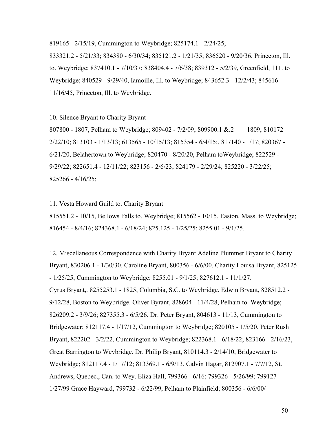819165 2/15/19, Cummington to Weybridge; 825174.1 2/24/25;

833321.2 5/21/33; 834380 6/30/34; 835121.2 1/21/35; 836520 9/20/36, Princeton, Ill. to. Weybridge; 837410.1 7/10/37; 838404.4 7/6/38; 839312 5/2/39, Greenfield, 111. to Weybridge; 840529 - 9/29/40, Iamoille, Ill. to Weybridge; 843652.3 - 12/2/43; 845616 -11/16/45, Princeton, Ill. to Weybridge.

10. Silence Bryant to Charity Bryant

807800 1807, Pelham to Weybridge; 809402 7/2/09; 809900.1 &.2 1809; 810172 2/22/10; 813103 - 1/13/13; 613565 - 10/15/13; 815354 - 6/4/15;. 817140 - 1/17; 820367 - $6/21/20$ , Belahertown to Weybridge;  $820470 - 8/20/20$ , Pelham toWeybridge;  $822529 - 1$ 9/29/22; 822651.4 12/11/22; 823156 2/6/23; 824179 2/29/24; 825220 3/22/25;  $825266 - 4/16/25$ ;

11. Vesta Howard Guild to. Charity Bryant 815551.2 10/15, Bellows Falls to. Weybridge; 815562 10/15, Easton, Mass. to Weybridge; 816454 - 8/4/16; 824368.1 - 6/18/24; 825.125 - 1/25/25; 8255.01 - 9/1/25.

12. Miscellaneous Correspondence with Charity Bryant Adeline Plummer Bryant to Charity Bryant, 830206.1 1/30/30. Caroline Bryant, 800356 6/6/00. Charity Louisa Bryant, 825125  $-1/25/25$ , Cummington to Weybridge; 8255.01  $-9/1/25$ ; 827612.1  $-11/1/27$ . Cyrus Bryant,. 8255253.1 1825, Columbia, S.C. to Weybridge. Edwin Bryant, 828512.2 9/12/28, Boston to Weybridge. Oliver Byrant, 828604 11/4/28, Pelham to. Weybridge; 826209.2 3/9/26; 827355.3 6/5/26. Dr. Peter Bryant, 804613 11/13, Cummington to Bridgewater; 812117.4 1/17/12, Cummington to Weybridge; 820105 1/5/20. Peter Rush Bryant, 822202 3/2/22, Cummington to Weybridge; 822368.1 6/18/22; 823166 2/16/23, Great Barrington to Weybridge. Dr. Philip Bryant, 810114.3 - 2/14/10, Bridgewater to Weybridge; 812117.4 1/17/12; 813369.1 6/9/13. Calvin Hagar, 812907.1 7/7/12, St. Andrews, Quebec., Can. to Wey. Eliza Hall, 799366 - 6/16; 799326 - 5/26/99; 799127 -1/27/99 Grace Hayward, 799732 6/22/99, Pelham to Plainfield; 800356 6/6/00/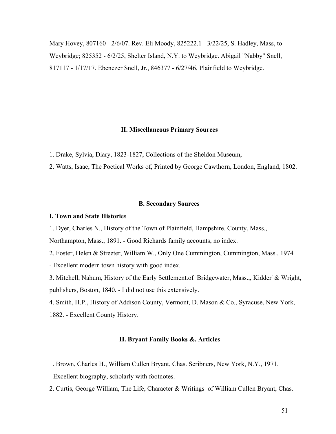Mary Hovey, 807160 - 2/6/07. Rev. Eli Moody, 825222.1 - 3/22/25, S. Hadley, Mass, to Weybridge; 825352 6/2/25, Shelter Island, N.Y. to Weybridge. Abigail "Nabby" Snell, 817117 1/17/17. Ebenezer Snell, Jr., 846377 6/27/46, Plainfield to Weybridge.

## **II. Miscellaneous Primary Sources**

1. Drake, Sylvia, Diary, 1823-1827, Collections of the Sheldon Museum,

2. Watts, Isaac, The Poetical Works of, Printed by George Cawthorn, London, England, 1802.

#### **B. Secondary Sources**

## **I. Town and State Histori**es

1. Dyer, Charles N., History of the Town of Plainfield, Hampshire. County, Mass.,

Northampton, Mass., 1891. Good Richards family accounts, no index.

2. Foster, Helen & Streeter, William W., Only One Cummington, Cummington, Mass., 1974 Excellent modern town history with good index.

3. Mitchell, Nahum, History of the Early Settlement.of Bridgewater, Mass.,, Kidder' & Wright, publishers, Boston, 1840. I did not use this extensively.

4. Smith, H.P., History of Addison County, Vermont, D. Mason & Co., Syracuse, New York, 1882. Excellent County History.

## **II. Bryant Family Books &. Articles**

- 1. Brown, Charles H., William Cullen Bryant, Chas. Scribners, New York, N.Y., 1971.
- Excellent biography, scholarly with footnotes.
- 2. Curtis, George William, The Life, Character & Writings of William Cullen Bryant, Chas.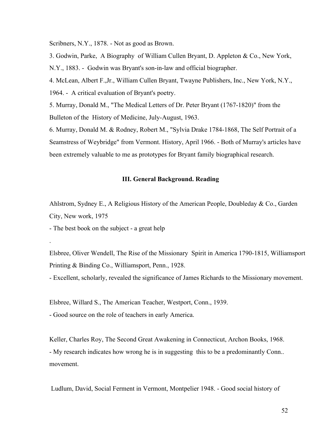Scribners, N.Y., 1878. - Not as good as Brown.

3. Godwin, Parke, A Biography of William Cullen Bryant, D. Appleton & Co., New York,

N.Y., 1883. - Godwin was Bryant's son-in-law and official biographer.

4. McLean, Albert F.,Jr., William Cullen Bryant, Twayne Publishers, Inc., New York, N.Y., 1964. A critical evaluation of Bryant's poetry.

5. Murray, Donald M., "The Medical Letters of Dr. Peter Bryant (1767-1820)" from the Bulleton of the History of Medicine, July-August, 1963.

6. Murray, Donald M. & Rodney, Robert M., "Sylvia Drake 17841868, The Self Portrait of a Seamstress of Weybridge" from Vermont. History, April 1966. - Both of Murray's articles have been extremely valuable to me as prototypes for Bryant family biographical research.

## **III. General Background. Reading**

Ahlstrom, Sydney E., A Religious History of the American People, Doubleday & Co., Garden City, New work, 1975

- The best book on the subject - a great help

.

Elsbree, Oliver Wendell, The Rise of the Missionary Spirit in America 1790-1815, Williamsport Printing & Binding Co., Williamsport, Penn., 1928.

Excellent, scholarly, revealed the significance of James Richards to the Missionary movement.

Elsbree, Willard S., The American Teacher, Westport, Conn., 1939.

Good source on the role of teachers in early America.

Keller, Charles Roy, The Second Great Awakening in Connecticut, Archon Books, 1968. My research indicates how wrong he is in suggesting this to be a predominantly Conn.. movement.

Ludlum, David, Social Ferment in Vermont, Montpelier 1948. Good social history of